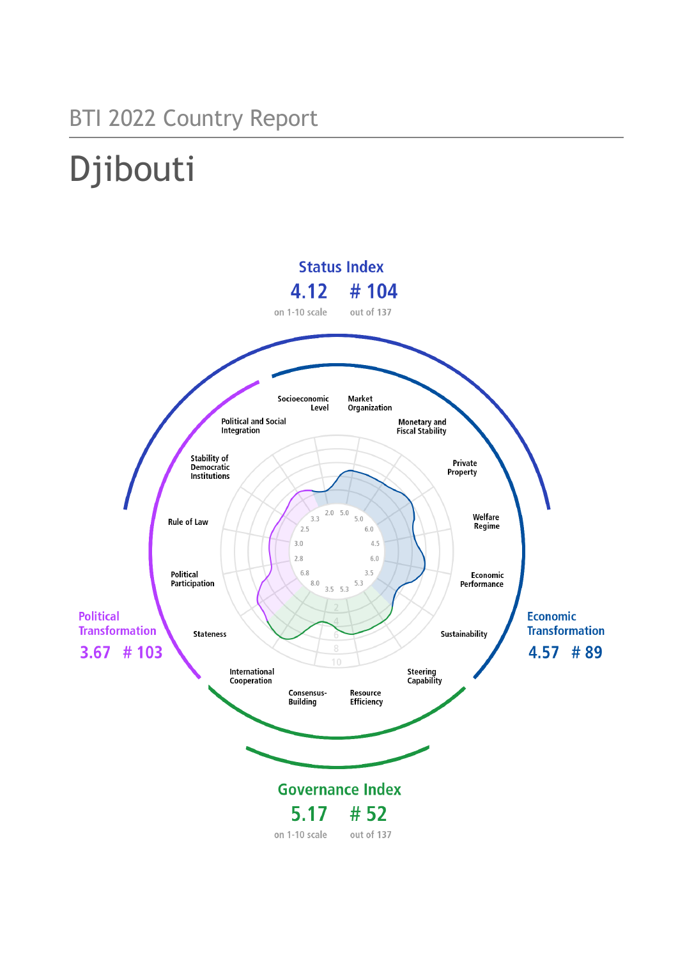# BTI 2022 Country Report

# Djibouti

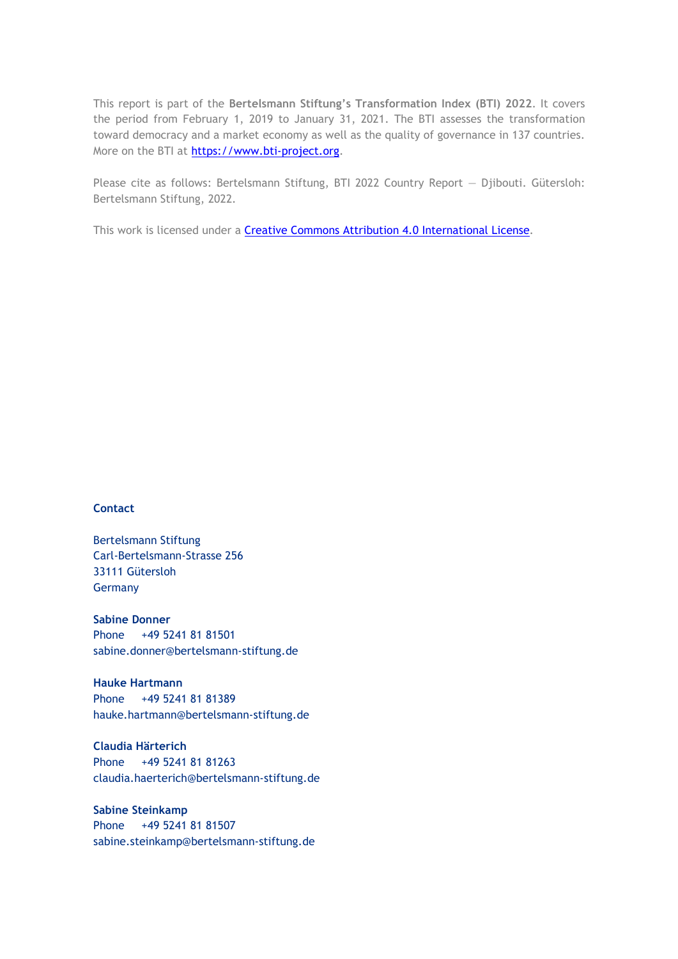This report is part of the **Bertelsmann Stiftung's Transformation Index (BTI) 2022**. It covers the period from February 1, 2019 to January 31, 2021. The BTI assesses the transformation toward democracy and a market economy as well as the quality of governance in 137 countries. More on the BTI at [https://www.bti-project.org.](https://www.bti-project.org/)

Please cite as follows: Bertelsmann Stiftung, BTI 2022 Country Report — Djibouti. Gütersloh: Bertelsmann Stiftung, 2022.

This work is licensed under a **Creative Commons Attribution 4.0 International License**.

### **Contact**

Bertelsmann Stiftung Carl-Bertelsmann-Strasse 256 33111 Gütersloh Germany

**Sabine Donner** Phone +49 5241 81 81501 sabine.donner@bertelsmann-stiftung.de

**Hauke Hartmann** Phone +49 5241 81 81389 hauke.hartmann@bertelsmann-stiftung.de

**Claudia Härterich** Phone +49 5241 81 81263 claudia.haerterich@bertelsmann-stiftung.de

### **Sabine Steinkamp** Phone +49 5241 81 81507 sabine.steinkamp@bertelsmann-stiftung.de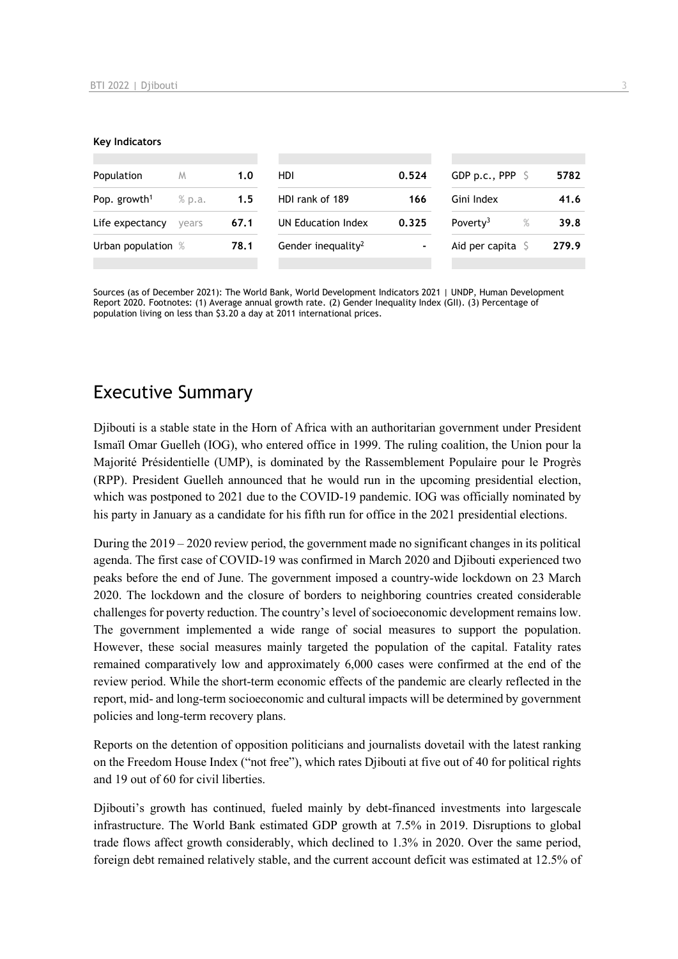#### **Key Indicators**

| Population               | M      | 1.0  | HDI.                           | 0.524          | GDP p.c., PPP $\ S$          | 5782  |
|--------------------------|--------|------|--------------------------------|----------------|------------------------------|-------|
| Pop. growth <sup>1</sup> | % p.a. | 1.5  | HDI rank of 189                | 166            | Gini Index                   | 41.6  |
| Life expectancy          | vears  | 67.1 | UN Education Index             | 0.325          | Poverty <sup>3</sup><br>$\%$ | 39.8  |
| Urban population %       |        | 78.1 | Gender inequality <sup>2</sup> | $\blacksquare$ | Aid per capita $\sqrt{2}$    | 279.9 |
|                          |        |      |                                |                |                              |       |

Sources (as of December 2021): The World Bank, World Development Indicators 2021 | UNDP, Human Development Report 2020. Footnotes: (1) Average annual growth rate. (2) Gender Inequality Index (GII). (3) Percentage of population living on less than \$3.20 a day at 2011 international prices.

# Executive Summary

Djibouti is a stable state in the Horn of Africa with an authoritarian government under President Ismaïl Omar Guelleh (IOG), who entered office in 1999. The ruling coalition, the Union pour la Majorité Présidentielle (UMP), is dominated by the Rassemblement Populaire pour le Progrès (RPP). President Guelleh announced that he would run in the upcoming presidential election, which was postponed to 2021 due to the COVID-19 pandemic. IOG was officially nominated by his party in January as a candidate for his fifth run for office in the 2021 presidential elections.

During the 2019 – 2020 review period, the government made no significant changes in its political agenda. The first case of COVID-19 was confirmed in March 2020 and Djibouti experienced two peaks before the end of June. The government imposed a country-wide lockdown on 23 March 2020. The lockdown and the closure of borders to neighboring countries created considerable challenges for poverty reduction. The country's level of socioeconomic development remains low. The government implemented a wide range of social measures to support the population. However, these social measures mainly targeted the population of the capital. Fatality rates remained comparatively low and approximately 6,000 cases were confirmed at the end of the review period. While the short-term economic effects of the pandemic are clearly reflected in the report, mid- and long-term socioeconomic and cultural impacts will be determined by government policies and long-term recovery plans.

Reports on the detention of opposition politicians and journalists dovetail with the latest ranking on the Freedom House Index ("not free"), which rates Djibouti at five out of 40 for political rights and 19 out of 60 for civil liberties.

Djibouti's growth has continued, fueled mainly by debt-financed investments into largescale infrastructure. The World Bank estimated GDP growth at 7.5% in 2019. Disruptions to global trade flows affect growth considerably, which declined to 1.3% in 2020. Over the same period, foreign debt remained relatively stable, and the current account deficit was estimated at 12.5% of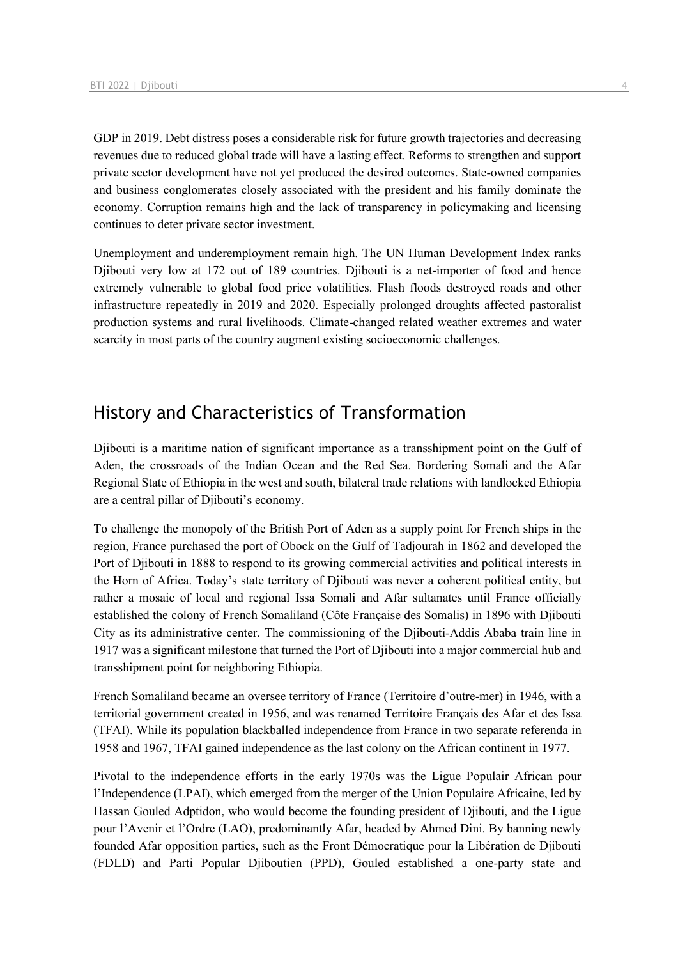GDP in 2019. Debt distress poses a considerable risk for future growth trajectories and decreasing revenues due to reduced global trade will have a lasting effect. Reforms to strengthen and support private sector development have not yet produced the desired outcomes. State-owned companies and business conglomerates closely associated with the president and his family dominate the economy. Corruption remains high and the lack of transparency in policymaking and licensing continues to deter private sector investment.

Unemployment and underemployment remain high. The UN Human Development Index ranks Djibouti very low at 172 out of 189 countries. Djibouti is a net-importer of food and hence extremely vulnerable to global food price volatilities. Flash floods destroyed roads and other infrastructure repeatedly in 2019 and 2020. Especially prolonged droughts affected pastoralist production systems and rural livelihoods. Climate-changed related weather extremes and water scarcity in most parts of the country augment existing socioeconomic challenges.

# History and Characteristics of Transformation

Djibouti is a maritime nation of significant importance as a transshipment point on the Gulf of Aden, the crossroads of the Indian Ocean and the Red Sea. Bordering Somali and the Afar Regional State of Ethiopia in the west and south, bilateral trade relations with landlocked Ethiopia are a central pillar of Djibouti's economy.

To challenge the monopoly of the British Port of Aden as a supply point for French ships in the region, France purchased the port of Obock on the Gulf of Tadjourah in 1862 and developed the Port of Djibouti in 1888 to respond to its growing commercial activities and political interests in the Horn of Africa. Today's state territory of Djibouti was never a coherent political entity, but rather a mosaic of local and regional Issa Somali and Afar sultanates until France officially established the colony of French Somaliland (Côte Française des Somalis) in 1896 with Djibouti City as its administrative center. The commissioning of the Djibouti-Addis Ababa train line in 1917 was a significant milestone that turned the Port of Djibouti into a major commercial hub and transshipment point for neighboring Ethiopia.

French Somaliland became an oversee territory of France (Territoire d'outre-mer) in 1946, with a territorial government created in 1956, and was renamed Territoire Français des Afar et des Issa (TFAI). While its population blackballed independence from France in two separate referenda in 1958 and 1967, TFAI gained independence as the last colony on the African continent in 1977.

Pivotal to the independence efforts in the early 1970s was the Ligue Populair African pour l'Independence (LPAI), which emerged from the merger of the Union Populaire Africaine, led by Hassan Gouled Adptidon, who would become the founding president of Djibouti, and the Ligue pour l'Avenir et l'Ordre (LAO), predominantly Afar, headed by Ahmed Dini. By banning newly founded Afar opposition parties, such as the Front Démocratique pour la Libération de Djibouti (FDLD) and Parti Popular Djiboutien (PPD), Gouled established a one-party state and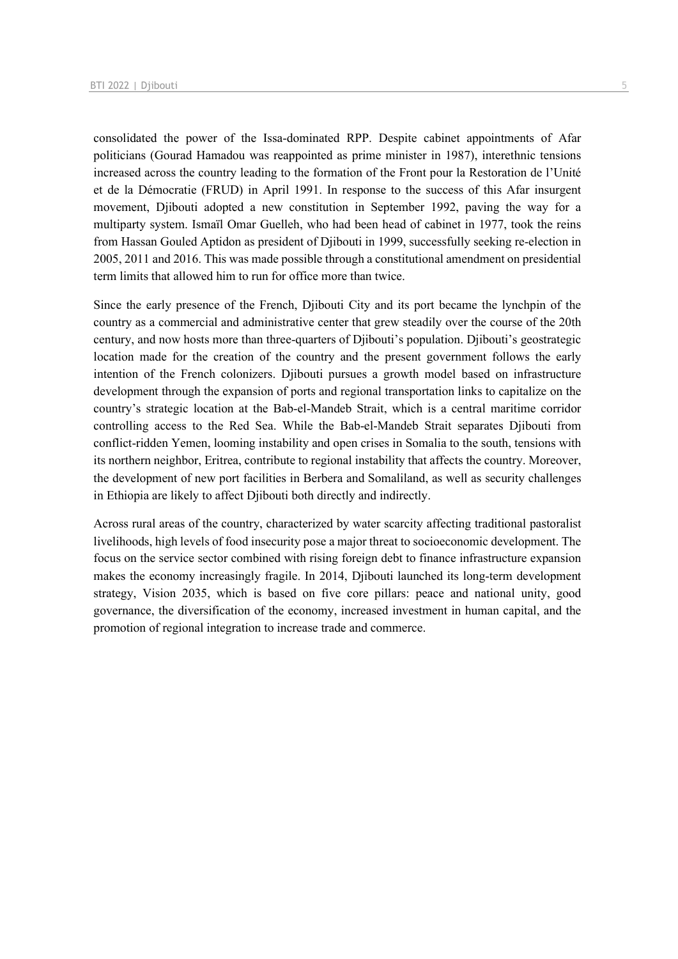consolidated the power of the Issa-dominated RPP. Despite cabinet appointments of Afar politicians (Gourad Hamadou was reappointed as prime minister in 1987), interethnic tensions increased across the country leading to the formation of the Front pour la Restoration de l'Unité et de la Démocratie (FRUD) in April 1991. In response to the success of this Afar insurgent movement, Djibouti adopted a new constitution in September 1992, paving the way for a multiparty system. Ismaïl Omar Guelleh, who had been head of cabinet in 1977, took the reins from Hassan Gouled Aptidon as president of Djibouti in 1999, successfully seeking re-election in 2005, 2011 and 2016. This was made possible through a constitutional amendment on presidential term limits that allowed him to run for office more than twice.

Since the early presence of the French, Djibouti City and its port became the lynchpin of the country as a commercial and administrative center that grew steadily over the course of the 20th century, and now hosts more than three-quarters of Djibouti's population. Djibouti's geostrategic location made for the creation of the country and the present government follows the early intention of the French colonizers. Djibouti pursues a growth model based on infrastructure development through the expansion of ports and regional transportation links to capitalize on the country's strategic location at the Bab-el-Mandeb Strait, which is a central maritime corridor controlling access to the Red Sea. While the Bab-el-Mandeb Strait separates Djibouti from conflict-ridden Yemen, looming instability and open crises in Somalia to the south, tensions with its northern neighbor, Eritrea, contribute to regional instability that affects the country. Moreover, the development of new port facilities in Berbera and Somaliland, as well as security challenges in Ethiopia are likely to affect Djibouti both directly and indirectly.

Across rural areas of the country, characterized by water scarcity affecting traditional pastoralist livelihoods, high levels of food insecurity pose a major threat to socioeconomic development. The focus on the service sector combined with rising foreign debt to finance infrastructure expansion makes the economy increasingly fragile. In 2014, Djibouti launched its long-term development strategy, Vision 2035, which is based on five core pillars: peace and national unity, good governance, the diversification of the economy, increased investment in human capital, and the promotion of regional integration to increase trade and commerce.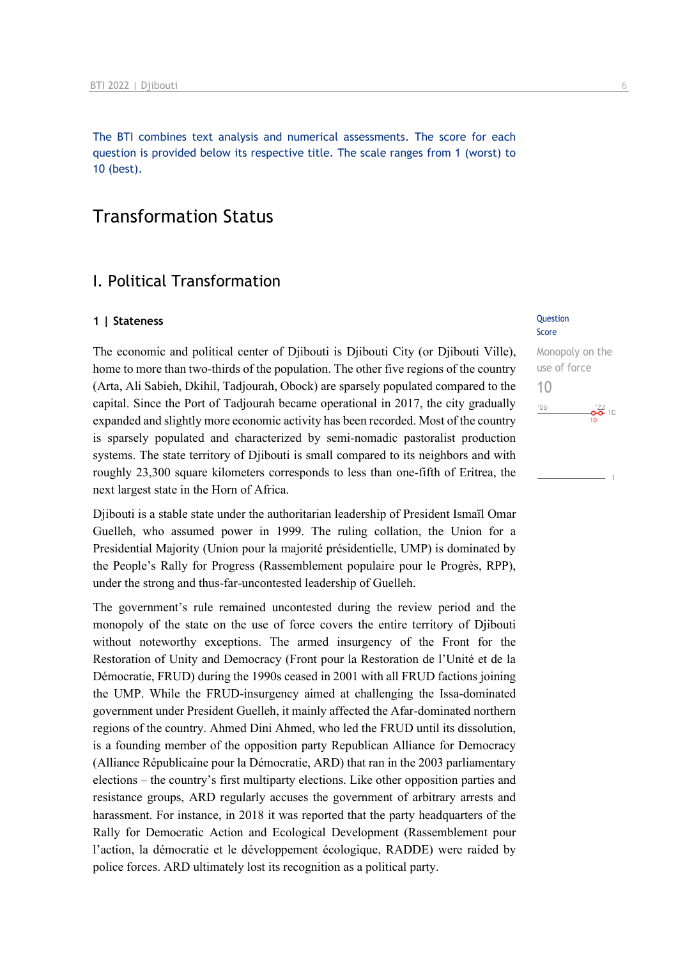The BTI combines text analysis and numerical assessments. The score for each question is provided below its respective title. The scale ranges from 1 (worst) to 10 (best).

# Transformation Status

## I. Political Transformation

### **1 | Stateness** Question

The economic and political center of Djibouti is Djibouti City (or Djibouti Ville), home to more than two-thirds of the population. The other five regions of the country (Arta, Ali Sabieh, Dkihil, Tadjourah, Obock) are sparsely populated compared to the capital. Since the Port of Tadjourah became operational in 2017, the city gradually expanded and slightly more economic activity has been recorded. Most of the country is sparsely populated and characterized by semi-nomadic pastoralist production systems. The state territory of Djibouti is small compared to its neighbors and with roughly 23,300 square kilometers corresponds to less than one-fifth of Eritrea, the next largest state in the Horn of Africa.

Djibouti is a stable state under the authoritarian leadership of President Ismaïl Omar Guelleh, who assumed power in 1999. The ruling collation, the Union for a Presidential Majority (Union pour la majorité présidentielle, UMP) is dominated by the People's Rally for Progress (Rassemblement populaire pour le Progrès, RPP), under the strong and thus-far-uncontested leadership of Guelleh.

The government's rule remained uncontested during the review period and the monopoly of the state on the use of force covers the entire territory of Djibouti without noteworthy exceptions. The armed insurgency of the Front for the Restoration of Unity and Democracy (Front pour la Restoration de l'Unité et de la Démocratie, FRUD) during the 1990s ceased in 2001 with all FRUD factions joining the UMP. While the FRUD-insurgency aimed at challenging the Issa-dominated government under President Guelleh, it mainly affected the Afar-dominated northern regions of the country. Ahmed Dini Ahmed, who led the FRUD until its dissolution, is a founding member of the opposition party Republican Alliance for Democracy (Alliance Républicaine pour la Démocratie, ARD) that ran in the 2003 parliamentary elections – the country's first multiparty elections. Like other opposition parties and resistance groups, ARD regularly accuses the government of arbitrary arrests and harassment. For instance, in 2018 it was reported that the party headquarters of the Rally for Democratic Action and Ecological Development (Rassemblement pour l'action, la démocratie et le développement écologique, RADDE) were raided by police forces. ARD ultimately lost its recognition as a political party.

# Score

### Monopoly on the use of force 10 $^{\prime}06$  $\frac{22}{10}$  10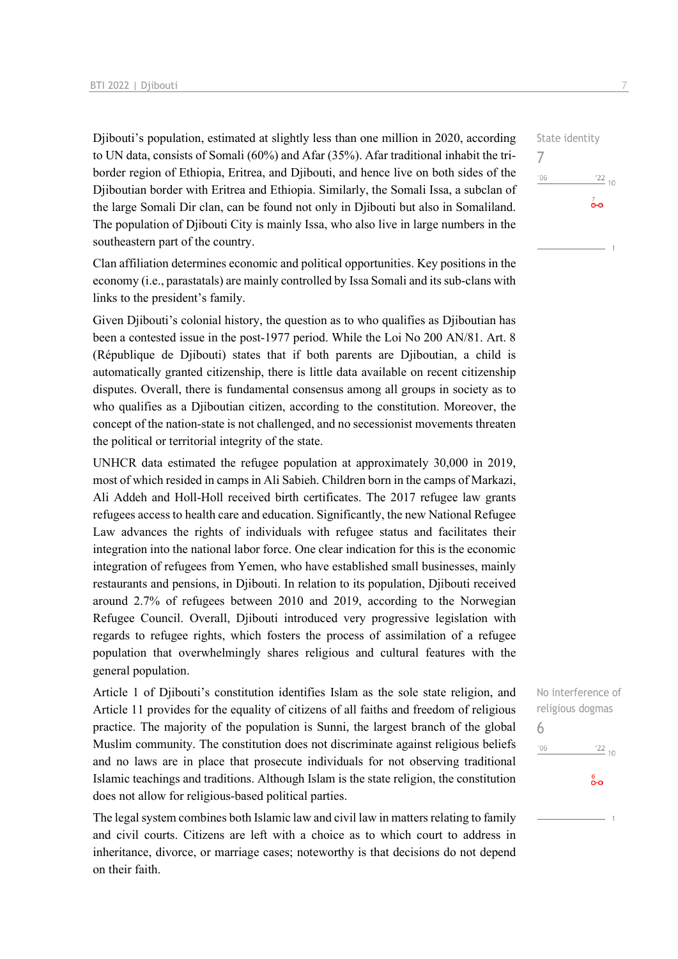Djibouti's population, estimated at slightly less than one million in 2020, according to UN data, consists of Somali (60%) and Afar (35%). Afar traditional inhabit the triborder region of Ethiopia, Eritrea, and Djibouti, and hence live on both sides of the Djiboutian border with Eritrea and Ethiopia. Similarly, the Somali Issa, a subclan of the large Somali Dir clan, can be found not only in Djibouti but also in Somaliland. The population of Djibouti City is mainly Issa, who also live in large numbers in the southeastern part of the country.

Clan affiliation determines economic and political opportunities. Key positions in the economy (i.e., parastatals) are mainly controlled by Issa Somali and its sub-clans with links to the president's family.

Given Djibouti's colonial history, the question as to who qualifies as Djiboutian has been a contested issue in the post-1977 period. While the Loi No 200 AN/81. Art. 8 (République de Djibouti) states that if both parents are Djiboutian, a child is automatically granted citizenship, there is little data available on recent citizenship disputes. Overall, there is fundamental consensus among all groups in society as to who qualifies as a Djiboutian citizen, according to the constitution. Moreover, the concept of the nation-state is not challenged, and no secessionist movements threaten the political or territorial integrity of the state.

UNHCR data estimated the refugee population at approximately 30,000 in 2019, most of which resided in camps in Ali Sabieh. Children born in the camps of Markazi, Ali Addeh and Holl-Holl received birth certificates. The 2017 refugee law grants refugees access to health care and education. Significantly, the new National Refugee Law advances the rights of individuals with refugee status and facilitates their integration into the national labor force. One clear indication for this is the economic integration of refugees from Yemen, who have established small businesses, mainly restaurants and pensions, in Djibouti. In relation to its population, Djibouti received around 2.7% of refugees between 2010 and 2019, according to the Norwegian Refugee Council. Overall, Djibouti introduced very progressive legislation with regards to refugee rights, which fosters the process of assimilation of a refugee population that overwhelmingly shares religious and cultural features with the general population.

Article 1 of Djibouti's constitution identifies Islam as the sole state religion, and Article 11 provides for the equality of citizens of all faiths and freedom of religious practice. The majority of the population is Sunni, the largest branch of the global Muslim community. The constitution does not discriminate against religious beliefs and no laws are in place that prosecute individuals for not observing traditional Islamic teachings and traditions. Although Islam is the state religion, the constitution does not allow for religious-based political parties.

The legal system combines both Islamic law and civil law in matters relating to family and civil courts. Citizens are left with a choice as to which court to address in inheritance, divorce, or marriage cases; noteworthy is that decisions do not depend on their faith.

State identity 7  $'06$  $\frac{22}{10}$ ൟ

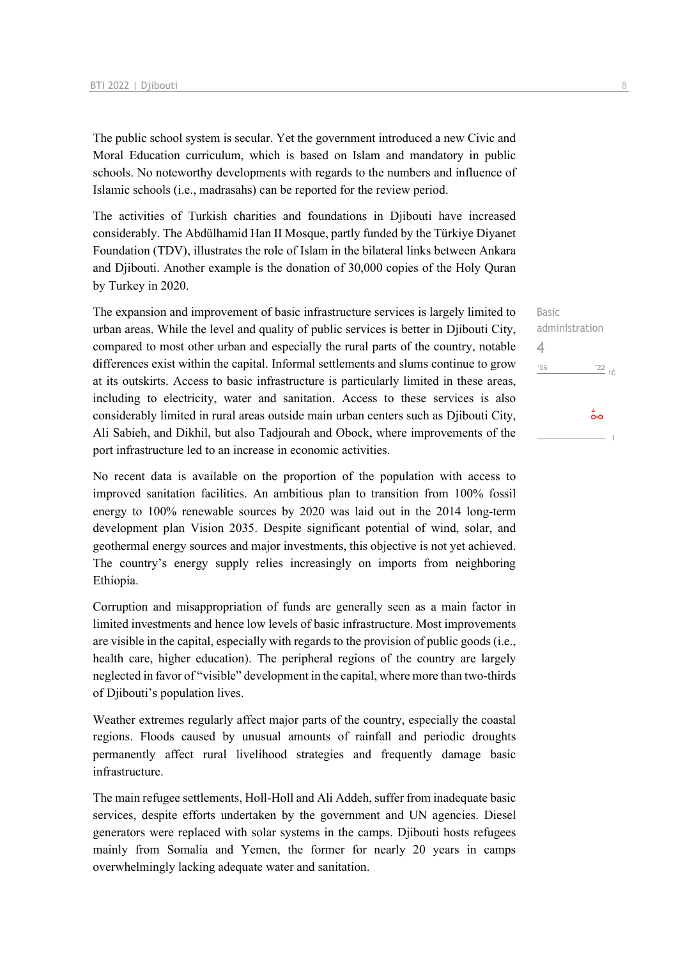The public school system is secular. Yet the government introduced a new Civic and Moral Education curriculum, which is based on Islam and mandatory in public schools. No noteworthy developments with regards to the numbers and influence of Islamic schools (i.e., madrasahs) can be reported for the review period.

The activities of Turkish charities and foundations in Djibouti have increased considerably. The Abdülhamid Han II Mosque, partly funded by the Türkiye Diyanet Foundation (TDV), illustrates the role of Islam in the bilateral links between Ankara and Djibouti. Another example is the donation of 30,000 copies of the Holy Quran by Turkey in 2020.

The expansion and improvement of basic infrastructure services is largely limited to urban areas. While the level and quality of public services is better in Djibouti City, compared to most other urban and especially the rural parts of the country, notable differences exist within the capital. Informal settlements and slums continue to grow at its outskirts. Access to basic infrastructure is particularly limited in these areas, including to electricity, water and sanitation. Access to these services is also considerably limited in rural areas outside main urban centers such as Djibouti City, Ali Sabieh, and Dikhil, but also Tadjourah and Obock, where improvements of the port infrastructure led to an increase in economic activities.

No recent data is available on the proportion of the population with access to improved sanitation facilities. An ambitious plan to transition from 100% fossil energy to 100% renewable sources by 2020 was laid out in the 2014 long-term development plan Vision 2035. Despite significant potential of wind, solar, and geothermal energy sources and major investments, this objective is not yet achieved. The country's energy supply relies increasingly on imports from neighboring Ethiopia.

Corruption and misappropriation of funds are generally seen as a main factor in limited investments and hence low levels of basic infrastructure. Most improvements are visible in the capital, especially with regards to the provision of public goods (i.e., health care, higher education). The peripheral regions of the country are largely neglected in favor of "visible" development in the capital, where more than two-thirds of Djibouti's population lives.

Weather extremes regularly affect major parts of the country, especially the coastal regions. Floods caused by unusual amounts of rainfall and periodic droughts permanently affect rural livelihood strategies and frequently damage basic infrastructure.

The main refugee settlements, Holl-Holl and Ali Addeh, suffer from inadequate basic services, despite efforts undertaken by the government and UN agencies. Diesel generators were replaced with solar systems in the camps. Djibouti hosts refugees mainly from Somalia and Yemen, the former for nearly 20 years in camps overwhelmingly lacking adequate water and sanitation.

Basic administration 4 $^{\prime}06$  $\frac{22}{10}$  $\overset{4}{\bullet}$ o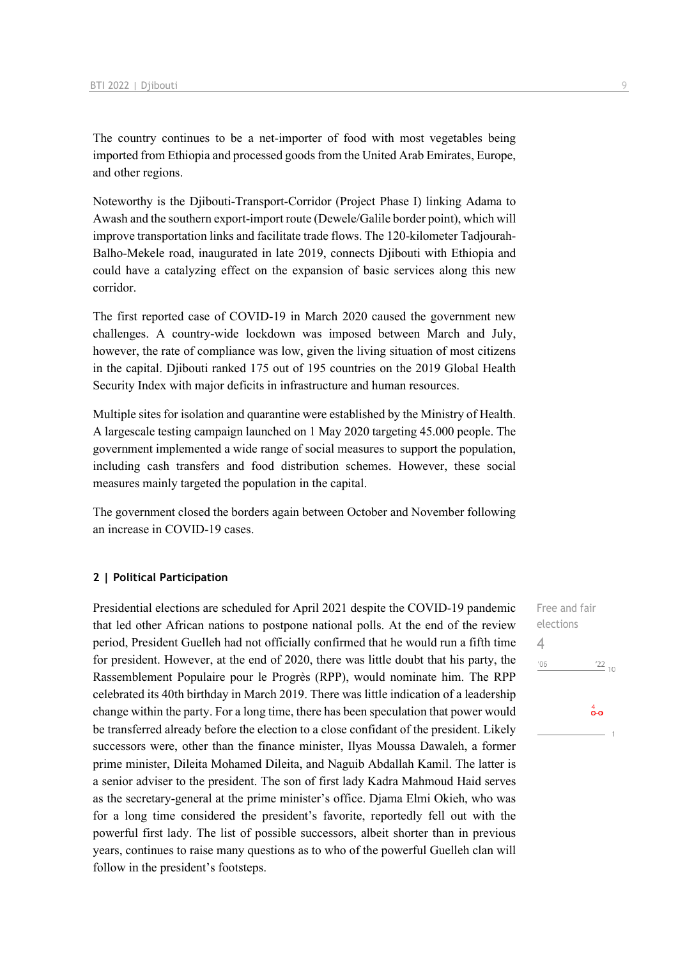The country continues to be a net-importer of food with most vegetables being imported from Ethiopia and processed goods from the United Arab Emirates, Europe, and other regions.

Noteworthy is the Djibouti-Transport-Corridor (Project Phase I) linking Adama to Awash and the southern export-import route (Dewele/Galile border point), which will improve transportation links and facilitate trade flows. The 120-kilometer Tadjourah-Balho-Mekele road, inaugurated in late 2019, connects Djibouti with Ethiopia and could have a catalyzing effect on the expansion of basic services along this new corridor.

The first reported case of COVID-19 in March 2020 caused the government new challenges. A country-wide lockdown was imposed between March and July, however, the rate of compliance was low, given the living situation of most citizens in the capital. Djibouti ranked 175 out of 195 countries on the 2019 Global Health Security Index with major deficits in infrastructure and human resources.

Multiple sites for isolation and quarantine were established by the Ministry of Health. A largescale testing campaign launched on 1 May 2020 targeting 45.000 people. The government implemented a wide range of social measures to support the population, including cash transfers and food distribution schemes. However, these social measures mainly targeted the population in the capital.

The government closed the borders again between October and November following an increase in COVID-19 cases.

### **2 | Political Participation**

Presidential elections are scheduled for April 2021 despite the COVID-19 pandemic that led other African nations to postpone national polls. At the end of the review period, President Guelleh had not officially confirmed that he would run a fifth time for president. However, at the end of 2020, there was little doubt that his party, the Rassemblement Populaire pour le Progrès (RPP), would nominate him. The RPP celebrated its 40th birthday in March 2019. There was little indication of a leadership change within the party. For a long time, there has been speculation that power would be transferred already before the election to a close confidant of the president. Likely successors were, other than the finance minister, Ilyas Moussa Dawaleh, a former prime minister, Dileita Mohamed Dileita, and Naguib Abdallah Kamil. The latter is a senior adviser to the president. The son of first lady Kadra Mahmoud Haid serves as the secretary-general at the prime minister's office. Djama Elmi Okieh, who was for a long time considered the president's favorite, reportedly fell out with the powerful first lady. The list of possible successors, albeit shorter than in previous years, continues to raise many questions as to who of the powerful Guelleh clan will follow in the president's footsteps.

Free and fair elections 4 $\frac{22}{10}$  $106$ 

 $\overset{4}{\bullet}\circ$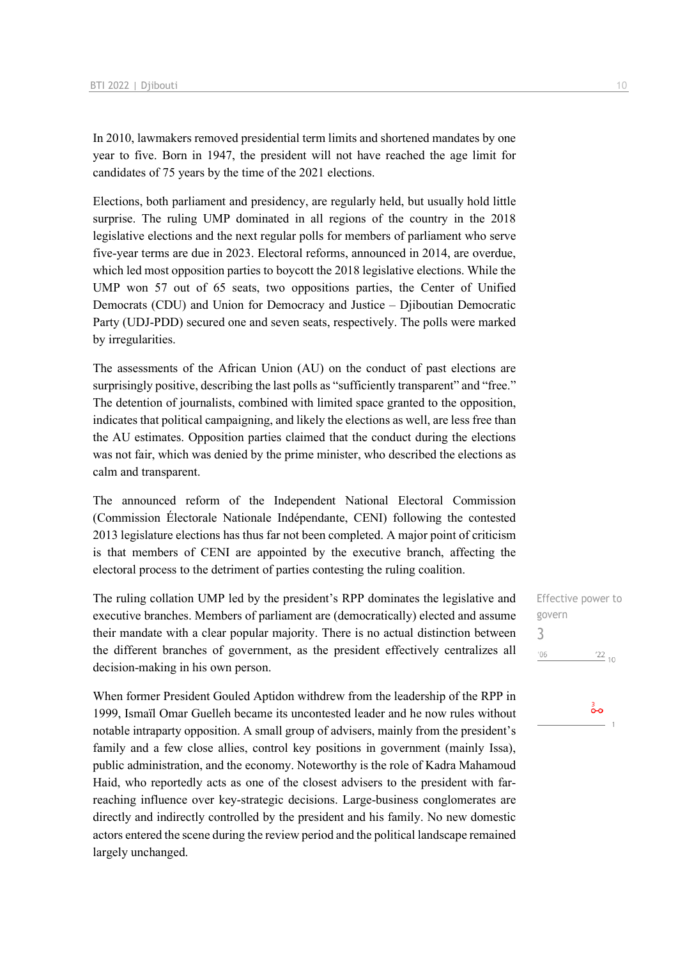In 2010, lawmakers removed presidential term limits and shortened mandates by one year to five. Born in 1947, the president will not have reached the age limit for candidates of 75 years by the time of the 2021 elections.

Elections, both parliament and presidency, are regularly held, but usually hold little surprise. The ruling UMP dominated in all regions of the country in the 2018 legislative elections and the next regular polls for members of parliament who serve five-year terms are due in 2023. Electoral reforms, announced in 2014, are overdue, which led most opposition parties to boycott the 2018 legislative elections. While the UMP won 57 out of 65 seats, two oppositions parties, the Center of Unified Democrats (CDU) and Union for Democracy and Justice – Djiboutian Democratic Party (UDJ-PDD) secured one and seven seats, respectively. The polls were marked by irregularities.

The assessments of the African Union (AU) on the conduct of past elections are surprisingly positive, describing the last polls as "sufficiently transparent" and "free." The detention of journalists, combined with limited space granted to the opposition, indicates that political campaigning, and likely the elections as well, are less free than the AU estimates. Opposition parties claimed that the conduct during the elections was not fair, which was denied by the prime minister, who described the elections as calm and transparent.

The announced reform of the Independent National Electoral Commission (Commission Électorale Nationale Indépendante, CENI) following the contested 2013 legislature elections has thus far not been completed. A major point of criticism is that members of CENI are appointed by the executive branch, affecting the electoral process to the detriment of parties contesting the ruling coalition.

The ruling collation UMP led by the president's RPP dominates the legislative and executive branches. Members of parliament are (democratically) elected and assume their mandate with a clear popular majority. There is no actual distinction between the different branches of government, as the president effectively centralizes all decision-making in his own person.

When former President Gouled Aptidon withdrew from the leadership of the RPP in 1999, Ismaïl Omar Guelleh became its uncontested leader and he now rules without notable intraparty opposition. A small group of advisers, mainly from the president's family and a few close allies, control key positions in government (mainly Issa), public administration, and the economy. Noteworthy is the role of Kadra Mahamoud Haid, who reportedly acts as one of the closest advisers to the president with farreaching influence over key-strategic decisions. Large-business conglomerates are directly and indirectly controlled by the president and his family. No new domestic actors entered the scene during the review period and the political landscape remained largely unchanged.

Effective power to govern 3 $^{\prime}06$  $\frac{22}{10}$ 

စိတ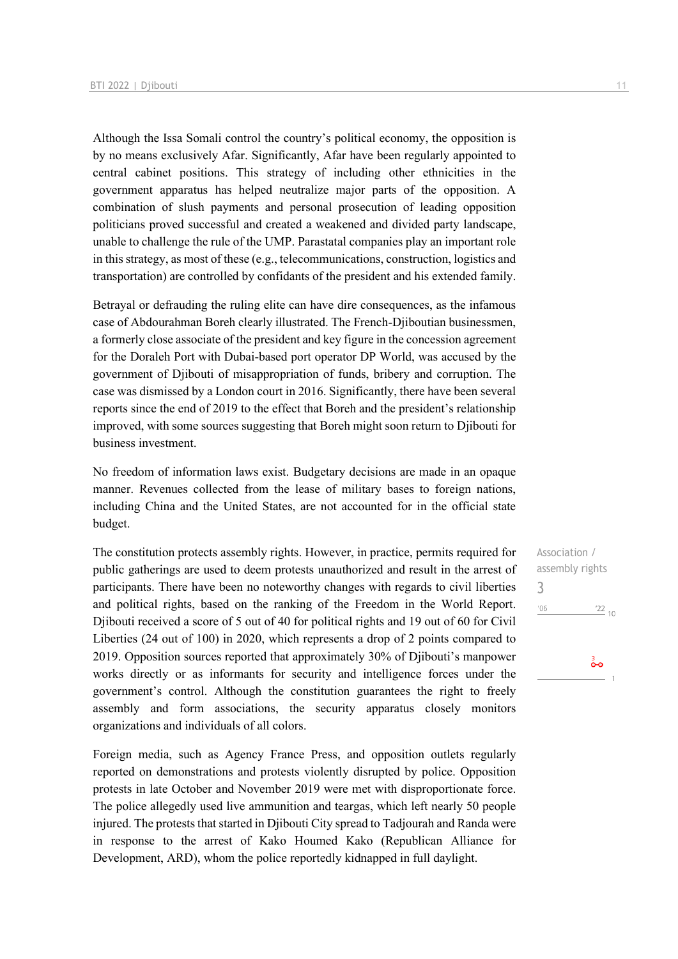Although the Issa Somali control the country's political economy, the opposition is by no means exclusively Afar. Significantly, Afar have been regularly appointed to central cabinet positions. This strategy of including other ethnicities in the government apparatus has helped neutralize major parts of the opposition. A combination of slush payments and personal prosecution of leading opposition politicians proved successful and created a weakened and divided party landscape, unable to challenge the rule of the UMP. Parastatal companies play an important role in this strategy, as most of these (e.g., telecommunications, construction, logistics and transportation) are controlled by confidants of the president and his extended family.

Betrayal or defrauding the ruling elite can have dire consequences, as the infamous case of Abdourahman Boreh clearly illustrated. The French-Djiboutian businessmen, a formerly close associate of the president and key figure in the concession agreement for the Doraleh Port with Dubai-based port operator DP World, was accused by the government of Djibouti of misappropriation of funds, bribery and corruption. The case was dismissed by a London court in 2016. Significantly, there have been several reports since the end of 2019 to the effect that Boreh and the president's relationship improved, with some sources suggesting that Boreh might soon return to Djibouti for business investment.

No freedom of information laws exist. Budgetary decisions are made in an opaque manner. Revenues collected from the lease of military bases to foreign nations, including China and the United States, are not accounted for in the official state budget.

The constitution protects assembly rights. However, in practice, permits required for public gatherings are used to deem protests unauthorized and result in the arrest of participants. There have been no noteworthy changes with regards to civil liberties and political rights, based on the ranking of the Freedom in the World Report. Djibouti received a score of 5 out of 40 for political rights and 19 out of 60 for Civil Liberties (24 out of 100) in 2020, which represents a drop of 2 points compared to 2019. Opposition sources reported that approximately 30% of Diibouti's manpower works directly or as informants for security and intelligence forces under the government's control. Although the constitution guarantees the right to freely assembly and form associations, the security apparatus closely monitors organizations and individuals of all colors.

Foreign media, such as Agency France Press, and opposition outlets regularly reported on demonstrations and protests violently disrupted by police. Opposition protests in late October and November 2019 were met with disproportionate force. The police allegedly used live ammunition and teargas, which left nearly 50 people injured. The protests that started in Djibouti City spread to Tadjourah and Randa were in response to the arrest of Kako Houmed Kako (Republican Alliance for Development, ARD), whom the police reportedly kidnapped in full daylight.

Association / assembly rights 3 $'06$  $\frac{22}{10}$ 

 $\overset{\scriptscriptstyle{3}}{\mathbf{o}}\mathbf{o}$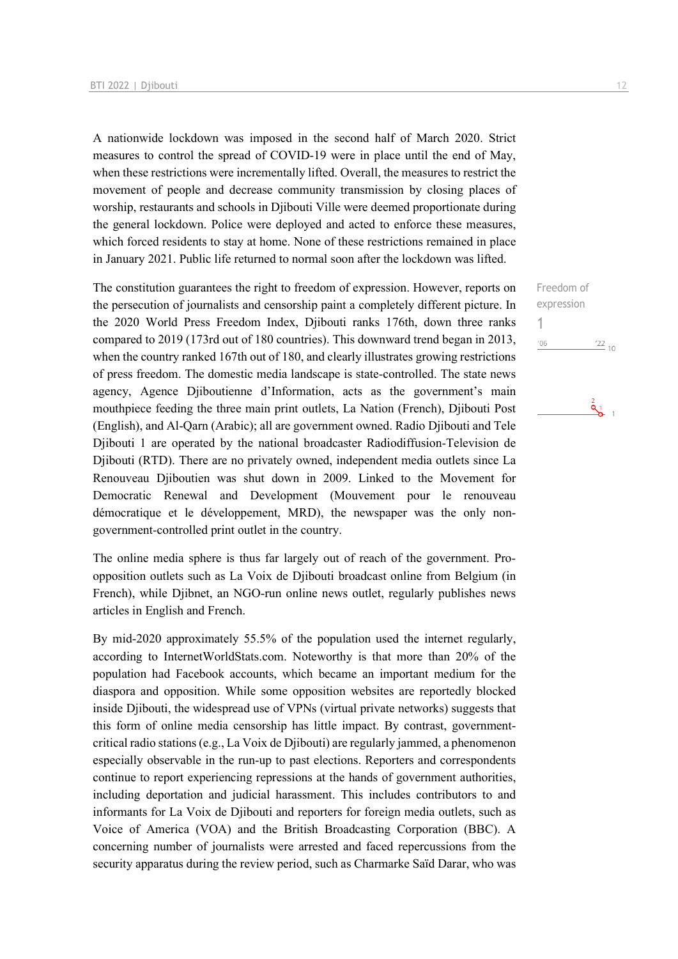A nationwide lockdown was imposed in the second half of March 2020. Strict measures to control the spread of COVID-19 were in place until the end of May, when these restrictions were incrementally lifted. Overall, the measures to restrict the movement of people and decrease community transmission by closing places of worship, restaurants and schools in Djibouti Ville were deemed proportionate during the general lockdown. Police were deployed and acted to enforce these measures, which forced residents to stay at home. None of these restrictions remained in place in January 2021. Public life returned to normal soon after the lockdown was lifted.

The constitution guarantees the right to freedom of expression. However, reports on the persecution of journalists and censorship paint a completely different picture. In the 2020 World Press Freedom Index, Djibouti ranks 176th, down three ranks compared to 2019 (173rd out of 180 countries). This downward trend began in 2013, when the country ranked 167th out of 180, and clearly illustrates growing restrictions of press freedom. The domestic media landscape is state-controlled. The state news agency, Agence Djiboutienne d'Information, acts as the government's main mouthpiece feeding the three main print outlets, La Nation (French), Djibouti Post (English), and Al-Qarn (Arabic); all are government owned. Radio Djibouti and Tele Djibouti 1 are operated by the national broadcaster Radiodiffusion-Television de Djibouti (RTD). There are no privately owned, independent media outlets since La Renouveau Djiboutien was shut down in 2009. Linked to the Movement for Democratic Renewal and Development (Mouvement pour le renouveau démocratique et le développement, MRD), the newspaper was the only nongovernment-controlled print outlet in the country.

The online media sphere is thus far largely out of reach of the government. Proopposition outlets such as La Voix de Djibouti broadcast online from Belgium (in French), while Diibnet, an NGO-run online news outlet, regularly publishes news articles in English and French.

By mid-2020 approximately 55.5% of the population used the internet regularly, according to InternetWorldStats.com. Noteworthy is that more than 20% of the population had Facebook accounts, which became an important medium for the diaspora and opposition. While some opposition websites are reportedly blocked inside Djibouti, the widespread use of VPNs (virtual private networks) suggests that this form of online media censorship has little impact. By contrast, governmentcritical radio stations (e.g., La Voix de Djibouti) are regularly jammed, a phenomenon especially observable in the run-up to past elections. Reporters and correspondents continue to report experiencing repressions at the hands of government authorities, including deportation and judicial harassment. This includes contributors to and informants for La Voix de Djibouti and reporters for foreign media outlets, such as Voice of America (VOA) and the British Broadcasting Corporation (BBC). A concerning number of journalists were arrested and faced repercussions from the security apparatus during the review period, such as Charmarke Saïd Darar, who was

Freedom of expression 1 $^{\prime}06$  $\frac{22}{10}$ 

 $\frac{2}{9}$  1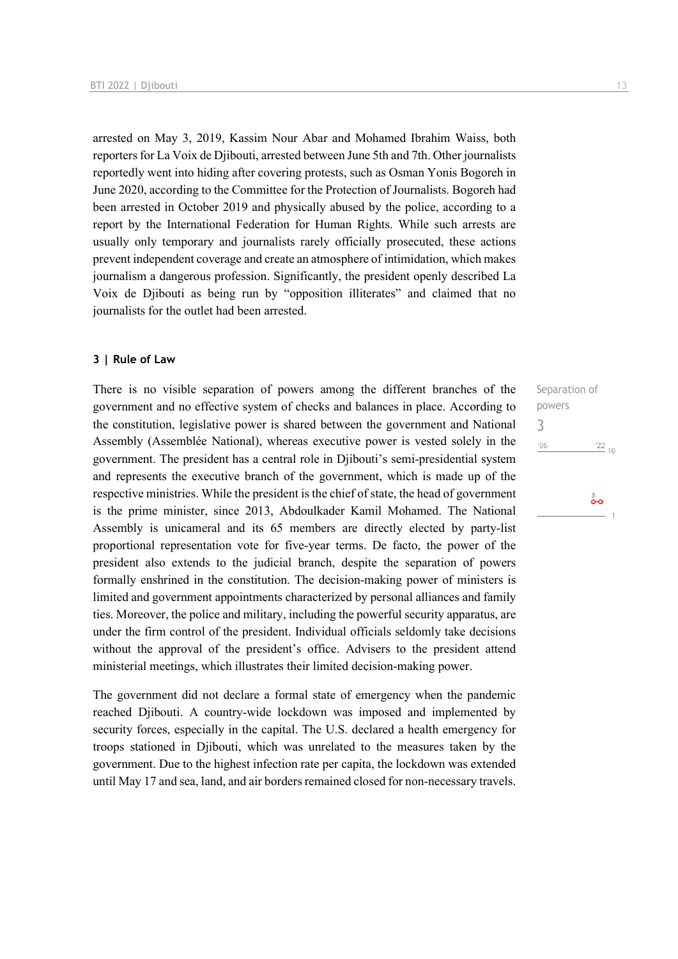arrested on May 3, 2019, Kassim Nour Abar and Mohamed Ibrahim Waiss, both reporters for La Voix de Djibouti, arrested between June 5th and 7th. Other journalists reportedly went into hiding after covering protests, such as Osman Yonis Bogoreh in June 2020, according to the Committee for the Protection of Journalists. Bogoreh had been arrested in October 2019 and physically abused by the police, according to a report by the International Federation for Human Rights. While such arrests are usually only temporary and journalists rarely officially prosecuted, these actions prevent independent coverage and create an atmosphere of intimidation, which makes journalism a dangerous profession. Significantly, the president openly described La Voix de Djibouti as being run by "opposition illiterates" and claimed that no journalists for the outlet had been arrested.

### **3 | Rule of Law**

There is no visible separation of powers among the different branches of the government and no effective system of checks and balances in place. According to the constitution, legislative power is shared between the government and National Assembly (Assemblée National), whereas executive power is vested solely in the government. The president has a central role in Djibouti's semi-presidential system and represents the executive branch of the government, which is made up of the respective ministries. While the president is the chief of state, the head of government is the prime minister, since 2013, Abdoulkader Kamil Mohamed. The National Assembly is unicameral and its 65 members are directly elected by party-list proportional representation vote for five-year terms. De facto, the power of the president also extends to the judicial branch, despite the separation of powers formally enshrined in the constitution. The decision-making power of ministers is limited and government appointments characterized by personal alliances and family ties. Moreover, the police and military, including the powerful security apparatus, are under the firm control of the president. Individual officials seldomly take decisions without the approval of the president's office. Advisers to the president attend ministerial meetings, which illustrates their limited decision-making power.

The government did not declare a formal state of emergency when the pandemic reached Djibouti. A country-wide lockdown was imposed and implemented by security forces, especially in the capital. The U.S. declared a health emergency for troops stationed in Djibouti, which was unrelated to the measures taken by the government. Due to the highest infection rate per capita, the lockdown was extended until May 17 and sea, land, and air borders remained closed for non-necessary travels. Separation of powers 3 $\frac{22}{10}$  $'06$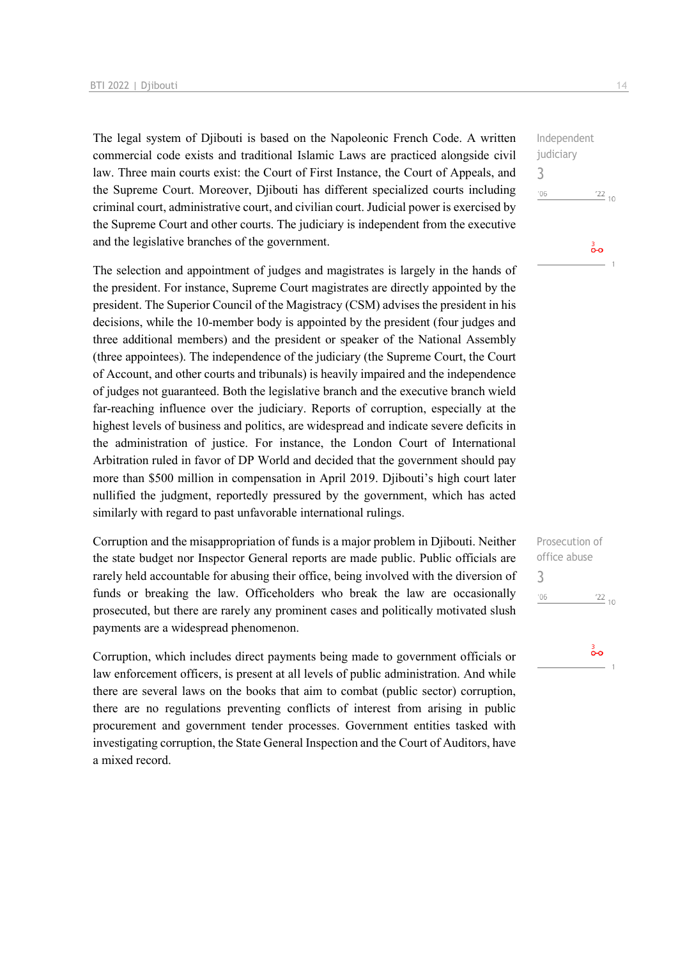The legal system of Djibouti is based on the Napoleonic French Code. A written commercial code exists and traditional Islamic Laws are practiced alongside civil law. Three main courts exist: the Court of First Instance, the Court of Appeals, and the Supreme Court. Moreover, Djibouti has different specialized courts including criminal court, administrative court, and civilian court. Judicial power is exercised by the Supreme Court and other courts. The judiciary is independent from the executive and the legislative branches of the government.

The selection and appointment of judges and magistrates is largely in the hands of the president. For instance, Supreme Court magistrates are directly appointed by the president. The Superior Council of the Magistracy (CSM) advises the president in his decisions, while the 10-member body is appointed by the president (four judges and three additional members) and the president or speaker of the National Assembly (three appointees). The independence of the judiciary (the Supreme Court, the Court of Account, and other courts and tribunals) is heavily impaired and the independence of judges not guaranteed. Both the legislative branch and the executive branch wield far-reaching influence over the judiciary. Reports of corruption, especially at the highest levels of business and politics, are widespread and indicate severe deficits in the administration of justice. For instance, the London Court of International Arbitration ruled in favor of DP World and decided that the government should pay more than \$500 million in compensation in April 2019. Djibouti's high court later nullified the judgment, reportedly pressured by the government, which has acted similarly with regard to past unfavorable international rulings.

Corruption and the misappropriation of funds is a major problem in Djibouti. Neither the state budget nor Inspector General reports are made public. Public officials are rarely held accountable for abusing their office, being involved with the diversion of funds or breaking the law. Officeholders who break the law are occasionally prosecuted, but there are rarely any prominent cases and politically motivated slush payments are a widespread phenomenon.

Corruption, which includes direct payments being made to government officials or law enforcement officers, is present at all levels of public administration. And while there are several laws on the books that aim to combat (public sector) corruption, there are no regulations preventing conflicts of interest from arising in public procurement and government tender processes. Government entities tasked with investigating corruption, the State General Inspection and the Court of Auditors, have a mixed record.

Independent judiciary 3  $^{\prime}06$  $\frac{22}{10}$ စိတ

| Prosecution of       |
|----------------------|
| office abuse         |
| 3                    |
| 106<br>$^{22}_{-10}$ |
|                      |

စိတ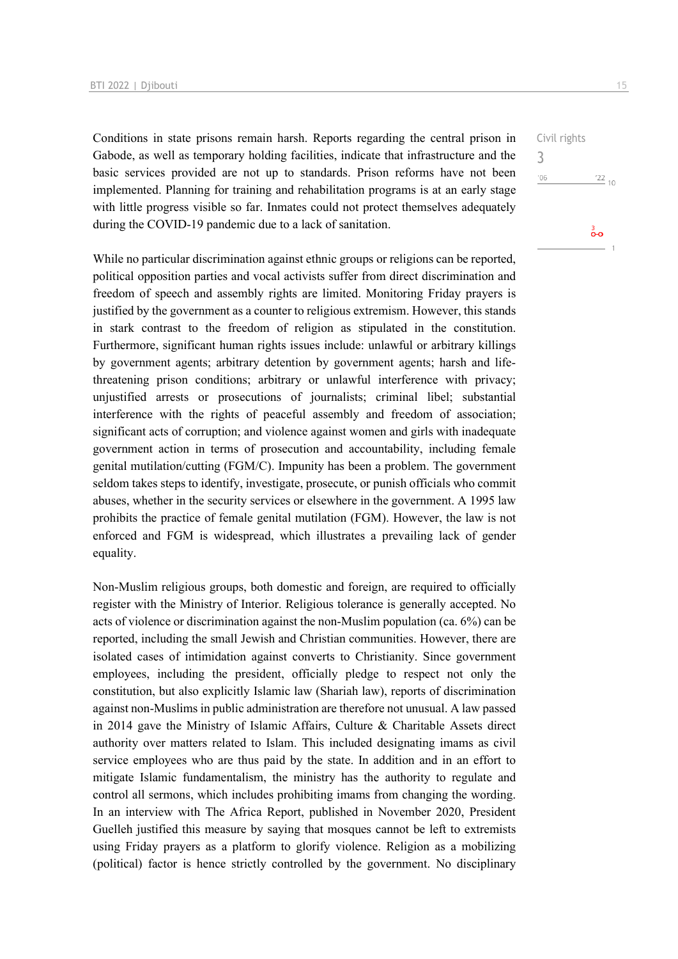Conditions in state prisons remain harsh. Reports regarding the central prison in Gabode, as well as temporary holding facilities, indicate that infrastructure and the basic services provided are not up to standards. Prison reforms have not been implemented. Planning for training and rehabilitation programs is at an early stage with little progress visible so far. Inmates could not protect themselves adequately during the COVID-19 pandemic due to a lack of sanitation.

While no particular discrimination against ethnic groups or religions can be reported, political opposition parties and vocal activists suffer from direct discrimination and freedom of speech and assembly rights are limited. Monitoring Friday prayers is justified by the government as a counter to religious extremism. However, this stands in stark contrast to the freedom of religion as stipulated in the constitution. Furthermore, significant human rights issues include: unlawful or arbitrary killings by government agents; arbitrary detention by government agents; harsh and lifethreatening prison conditions; arbitrary or unlawful interference with privacy; unjustified arrests or prosecutions of journalists; criminal libel; substantial interference with the rights of peaceful assembly and freedom of association; significant acts of corruption; and violence against women and girls with inadequate government action in terms of prosecution and accountability, including female genital mutilation/cutting (FGM/C). Impunity has been a problem. The government seldom takes steps to identify, investigate, prosecute, or punish officials who commit abuses, whether in the security services or elsewhere in the government. A 1995 law prohibits the practice of female genital mutilation (FGM). However, the law is not enforced and FGM is widespread, which illustrates a prevailing lack of gender equality.

Non-Muslim religious groups, both domestic and foreign, are required to officially register with the Ministry of Interior. Religious tolerance is generally accepted. No acts of violence or discrimination against the non-Muslim population (ca. 6%) can be reported, including the small Jewish and Christian communities. However, there are isolated cases of intimidation against converts to Christianity. Since government employees, including the president, officially pledge to respect not only the constitution, but also explicitly Islamic law (Shariah law), reports of discrimination against non-Muslims in public administration are therefore not unusual. A law passed in 2014 gave the Ministry of Islamic Affairs, Culture & Charitable Assets direct authority over matters related to Islam. This included designating imams as civil service employees who are thus paid by the state. In addition and in an effort to mitigate Islamic fundamentalism, the ministry has the authority to regulate and control all sermons, which includes prohibiting imams from changing the wording. In an interview with The Africa Report, published in November 2020, President Guelleh justified this measure by saying that mosques cannot be left to extremists using Friday prayers as a platform to glorify violence. Religion as a mobilizing (political) factor is hence strictly controlled by the government. No disciplinary

 $\frac{22}{10}$ 

စိတ

Civil rights

3 $'06$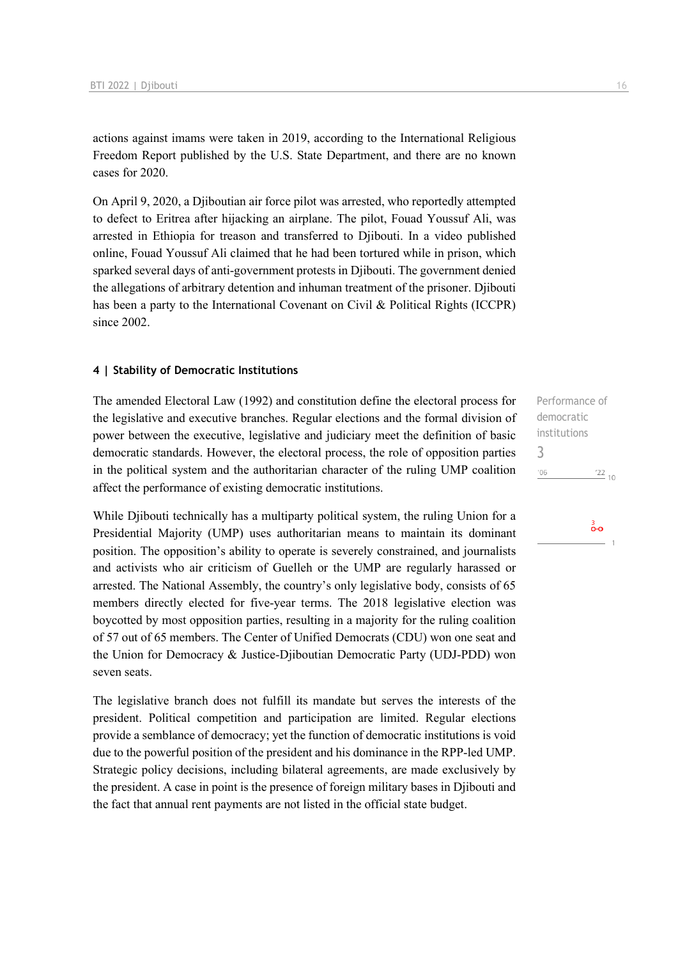actions against imams were taken in 2019, according to the International Religious Freedom Report published by the U.S. State Department, and there are no known cases for 2020.

On April 9, 2020, a Djiboutian air force pilot was arrested, who reportedly attempted to defect to Eritrea after hijacking an airplane. The pilot, Fouad Youssuf Ali, was arrested in Ethiopia for treason and transferred to Djibouti. In a video published online, Fouad Youssuf Ali claimed that he had been tortured while in prison, which sparked several days of anti-government protests in Djibouti. The government denied the allegations of arbitrary detention and inhuman treatment of the prisoner. Djibouti has been a party to the International Covenant on Civil & Political Rights (ICCPR) since 2002.

### **4 | Stability of Democratic Institutions**

The amended Electoral Law (1992) and constitution define the electoral process for the legislative and executive branches. Regular elections and the formal division of power between the executive, legislative and judiciary meet the definition of basic democratic standards. However, the electoral process, the role of opposition parties in the political system and the authoritarian character of the ruling UMP coalition affect the performance of existing democratic institutions.

While Djibouti technically has a multiparty political system, the ruling Union for a Presidential Majority (UMP) uses authoritarian means to maintain its dominant position. The opposition's ability to operate is severely constrained, and journalists and activists who air criticism of Guelleh or the UMP are regularly harassed or arrested. The National Assembly, the country's only legislative body, consists of 65 members directly elected for five-year terms. The 2018 legislative election was boycotted by most opposition parties, resulting in a majority for the ruling coalition of 57 out of 65 members. The Center of Unified Democrats (CDU) won one seat and the Union for Democracy & Justice-Djiboutian Democratic Party (UDJ-PDD) won seven seats.

The legislative branch does not fulfill its mandate but serves the interests of the president. Political competition and participation are limited. Regular elections provide a semblance of democracy; yet the function of democratic institutions is void due to the powerful position of the president and his dominance in the RPP-led UMP. Strategic policy decisions, including bilateral agreements, are made exclusively by the president. A case in point is the presence of foreign military bases in Djibouti and the fact that annual rent payments are not listed in the official state budget.

Performance of democratic institutions 3 $\frac{22}{10}$  $^{\prime}06$ 

စံစ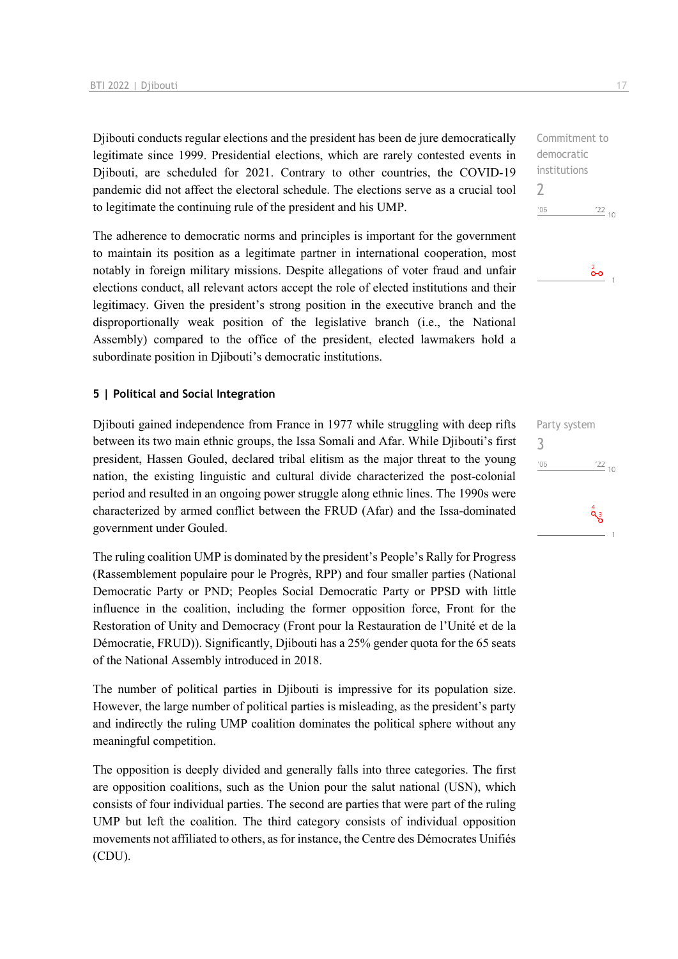Djibouti conducts regular elections and the president has been de jure democratically legitimate since 1999. Presidential elections, which are rarely contested events in Djibouti, are scheduled for 2021. Contrary to other countries, the COVID-19 pandemic did not affect the electoral schedule. The elections serve as a crucial tool to legitimate the continuing rule of the president and his UMP.

The adherence to democratic norms and principles is important for the government to maintain its position as a legitimate partner in international cooperation, most notably in foreign military missions. Despite allegations of voter fraud and unfair elections conduct, all relevant actors accept the role of elected institutions and their legitimacy. Given the president's strong position in the executive branch and the disproportionally weak position of the legislative branch (i.e., the National Assembly) compared to the office of the president, elected lawmakers hold a subordinate position in Djibouti's democratic institutions.

### **5 | Political and Social Integration**

Djibouti gained independence from France in 1977 while struggling with deep rifts between its two main ethnic groups, the Issa Somali and Afar. While Djibouti's first president, Hassen Gouled, declared tribal elitism as the major threat to the young nation, the existing linguistic and cultural divide characterized the post-colonial period and resulted in an ongoing power struggle along ethnic lines. The 1990s were characterized by armed conflict between the FRUD (Afar) and the Issa-dominated government under Gouled.

The ruling coalition UMP is dominated by the president's People's Rally for Progress (Rassemblement populaire pour le Progrès, RPP) and four smaller parties (National Democratic Party or PND; Peoples Social Democratic Party or PPSD with little influence in the coalition, including the former opposition force, Front for the Restoration of Unity and Democracy (Front pour la Restauration de l'Unité et de la Démocratie, FRUD)). Significantly, Djibouti has a 25% gender quota for the 65 seats of the National Assembly introduced in 2018.

The number of political parties in Djibouti is impressive for its population size. However, the large number of political parties is misleading, as the president's party and indirectly the ruling UMP coalition dominates the political sphere without any meaningful competition.

The opposition is deeply divided and generally falls into three categories. The first are opposition coalitions, such as the Union pour the salut national (USN), which consists of four individual parties. The second are parties that were part of the ruling UMP but left the coalition. The third category consists of individual opposition movements not affiliated to others, as for instance, the Centre des Démocrates Unifiés (CDU).

Commitment to democratic institutions 2  $-06$  $\frac{22}{10}$ 

စ်စ

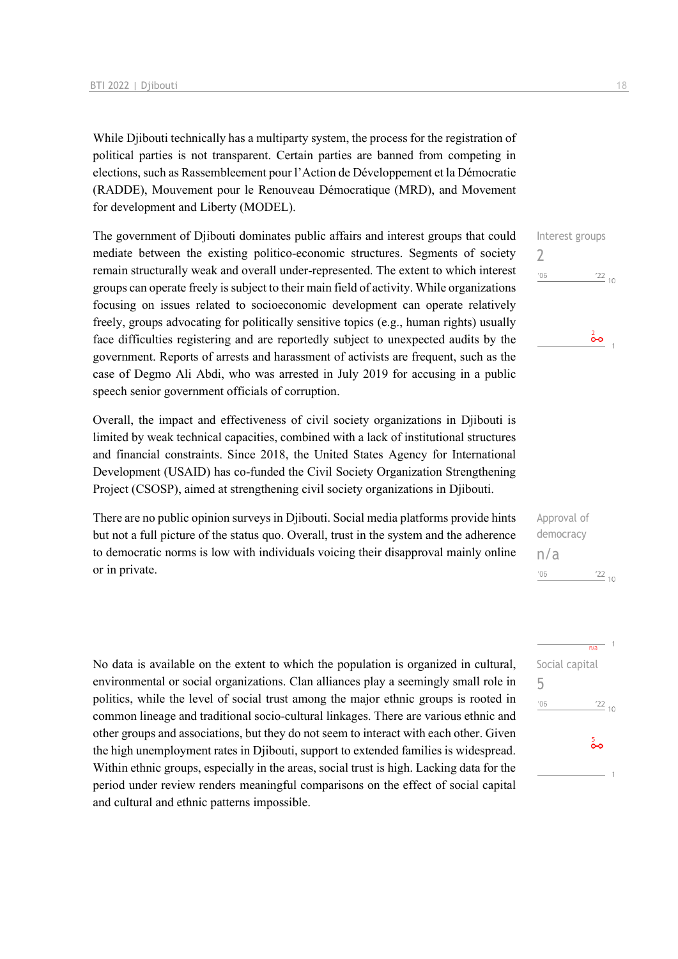While Djibouti technically has a multiparty system, the process for the registration of political parties is not transparent. Certain parties are banned from competing in elections, such as Rassembleement pour l'Action de Développement et la Démocratie (RADDE), Mouvement pour le Renouveau Démocratique (MRD), and Movement for development and Liberty (MODEL).

The government of Djibouti dominates public affairs and interest groups that could mediate between the existing politico-economic structures. Segments of society remain structurally weak and overall under-represented. The extent to which interest groups can operate freely is subject to their main field of activity. While organizations focusing on issues related to socioeconomic development can operate relatively freely, groups advocating for politically sensitive topics (e.g., human rights) usually face difficulties registering and are reportedly subject to unexpected audits by the government. Reports of arrests and harassment of activists are frequent, such as the case of Degmo Ali Abdi, who was arrested in July 2019 for accusing in a public speech senior government officials of corruption.

Overall, the impact and effectiveness of civil society organizations in Djibouti is limited by weak technical capacities, combined with a lack of institutional structures and financial constraints. Since 2018, the United States Agency for International Development (USAID) has co-funded the Civil Society Organization Strengthening Project (CSOSP), aimed at strengthening civil society organizations in Djibouti.

There are no public opinion surveys in Djibouti. Social media platforms provide hints but not a full picture of the status quo. Overall, trust in the system and the adherence to democratic norms is low with individuals voicing their disapproval mainly online or in private.

No data is available on the extent to which the population is organized in cultural, environmental or social organizations. Clan alliances play a seemingly small role in politics, while the level of social trust among the major ethnic groups is rooted in common lineage and traditional socio-cultural linkages. There are various ethnic and other groups and associations, but they do not seem to interact with each other. Given the high unemployment rates in Djibouti, support to extended families is widespread. Within ethnic groups, especially in the areas, social trust is high. Lacking data for the period under review renders meaningful comparisons on the effect of social capital and cultural and ethnic patterns impossible.



| Approval of |            |  |
|-------------|------------|--|
| democracy   |            |  |
| n/a         |            |  |
| 106         | $122_{10}$ |  |

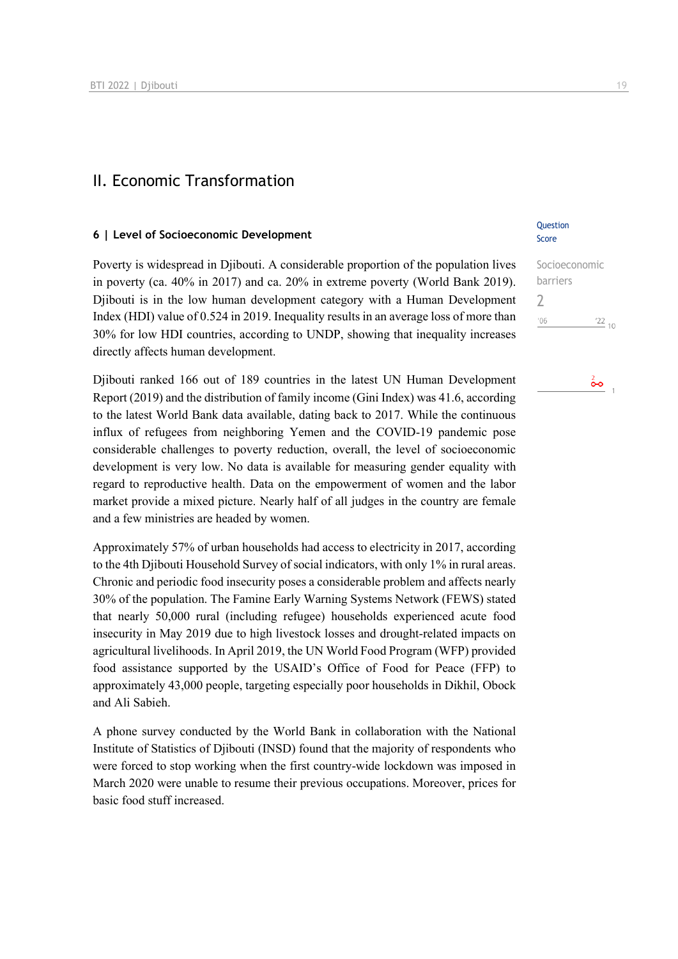### II. Economic Transformation

### **6 | Level of Socioeconomic Development**

Poverty is widespread in Djibouti. A considerable proportion of the population lives in poverty (ca. 40% in 2017) and ca. 20% in extreme poverty (World Bank 2019). Djibouti is in the low human development category with a Human Development Index (HDI) value of 0.524 in 2019. Inequality results in an average loss of more than 30% for low HDI countries, according to UNDP, showing that inequality increases directly affects human development.

Djibouti ranked 166 out of 189 countries in the latest UN Human Development Report (2019) and the distribution of family income (Gini Index) was 41.6, according to the latest World Bank data available, dating back to 2017. While the continuous influx of refugees from neighboring Yemen and the COVID-19 pandemic pose considerable challenges to poverty reduction, overall, the level of socioeconomic development is very low. No data is available for measuring gender equality with regard to reproductive health. Data on the empowerment of women and the labor market provide a mixed picture. Nearly half of all judges in the country are female and a few ministries are headed by women.

Approximately 57% of urban households had access to electricity in 2017, according to the 4th Djibouti Household Survey of social indicators, with only 1% in rural areas. Chronic and periodic food insecurity poses a considerable problem and affects nearly 30% of the population. The Famine Early Warning Systems Network (FEWS) stated that nearly 50,000 rural (including refugee) households experienced acute food insecurity in May 2019 due to high livestock losses and drought-related impacts on agricultural livelihoods. In April 2019, the UN World Food Program (WFP) provided food assistance supported by the USAID's Office of Food for Peace (FFP) to approximately 43,000 people, targeting especially poor households in Dikhil, Obock and Ali Sabieh.

A phone survey conducted by the World Bank in collaboration with the National Institute of Statistics of Djibouti (INSD) found that the majority of respondents who were forced to stop working when the first country-wide lockdown was imposed in March 2020 were unable to resume their previous occupations. Moreover, prices for basic food stuff increased.

### **Question** Score

| Socioeconomic  |  |
|----------------|--|
| barriers       |  |
|                |  |
| '06<br>$'22$ , |  |
|                |  |

# $rac{2}{\bullet}$  1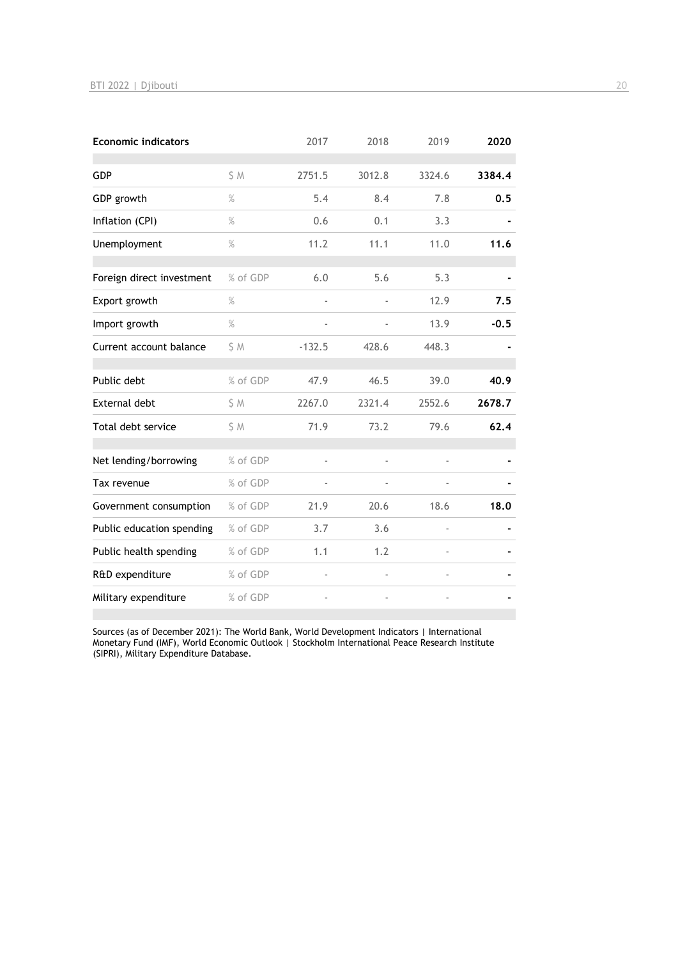| <b>Economic indicators</b> |          | 2017     | 2018   | 2019                     | 2020   |
|----------------------------|----------|----------|--------|--------------------------|--------|
| GDP                        | S M      | 2751.5   | 3012.8 | 3324.6                   | 3384.4 |
| GDP growth                 | $\%$     | 5.4      | 8.4    | 7.8                      | 0.5    |
| Inflation (CPI)            | $\%$     | 0.6      | 0.1    | 3.3                      |        |
| Unemployment               | $\%$     | 11.2     | 11.1   | 11.0                     | 11.6   |
| Foreign direct investment  | % of GDP | 6.0      | 5.6    | 5.3                      |        |
| Export growth              | $\%$     |          |        | 12.9                     | 7.5    |
| Import growth              | $\%$     |          |        | 13.9                     | $-0.5$ |
| Current account balance    | S M      | $-132.5$ | 428.6  | 448.3                    |        |
| Public debt                | % of GDP | 47.9     | 46.5   | 39.0                     | 40.9   |
| <b>External debt</b>       | S M      | 2267.0   | 2321.4 | 2552.6                   | 2678.7 |
| Total debt service         | S M      | 71.9     | 73.2   | 79.6                     | 62.4   |
| Net lending/borrowing      | % of GDP |          |        |                          |        |
| Tax revenue                | % of GDP |          |        |                          |        |
| Government consumption     | % of GDP | 21.9     | 20.6   | 18.6                     | 18.0   |
| Public education spending  | % of GDP | 3.7      | 3.6    | $\overline{\phantom{0}}$ |        |
| Public health spending     | % of GDP | 1.1      | 1.2    |                          |        |
| R&D expenditure            | % of GDP |          |        | i,                       |        |
| Military expenditure       | % of GDP |          |        |                          |        |

Sources (as of December 2021): The World Bank, World Development Indicators | International Monetary Fund (IMF), World Economic Outlook | Stockholm International Peace Research Institute (SIPRI), Military Expenditure Database.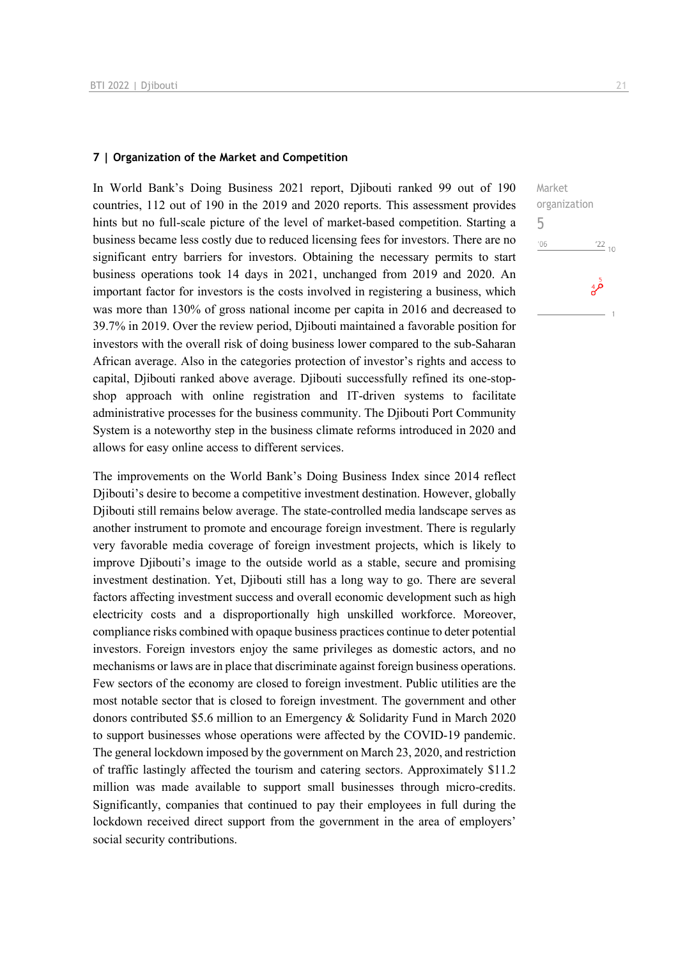### **7 | Organization of the Market and Competition**

In World Bank's Doing Business 2021 report, Djibouti ranked 99 out of 190 countries, 112 out of 190 in the 2019 and 2020 reports. This assessment provides hints but no full-scale picture of the level of market-based competition. Starting a business became less costly due to reduced licensing fees for investors. There are no significant entry barriers for investors. Obtaining the necessary permits to start business operations took 14 days in 2021, unchanged from 2019 and 2020. An important factor for investors is the costs involved in registering a business, which was more than 130% of gross national income per capita in 2016 and decreased to 39.7% in 2019. Over the review period, Djibouti maintained a favorable position for investors with the overall risk of doing business lower compared to the sub-Saharan African average. Also in the categories protection of investor's rights and access to capital, Djibouti ranked above average. Djibouti successfully refined its one-stopshop approach with online registration and IT-driven systems to facilitate administrative processes for the business community. The Djibouti Port Community System is a noteworthy step in the business climate reforms introduced in 2020 and allows for easy online access to different services.

The improvements on the World Bank's Doing Business Index since 2014 reflect Djibouti's desire to become a competitive investment destination. However, globally Djibouti still remains below average. The state-controlled media landscape serves as another instrument to promote and encourage foreign investment. There is regularly very favorable media coverage of foreign investment projects, which is likely to improve Djibouti's image to the outside world as a stable, secure and promising investment destination. Yet, Djibouti still has a long way to go. There are several factors affecting investment success and overall economic development such as high electricity costs and a disproportionally high unskilled workforce. Moreover, compliance risks combined with opaque business practices continue to deter potential investors. Foreign investors enjoy the same privileges as domestic actors, and no mechanisms or laws are in place that discriminate against foreign business operations. Few sectors of the economy are closed to foreign investment. Public utilities are the most notable sector that is closed to foreign investment. The government and other donors contributed \$5.6 million to an Emergency & Solidarity Fund in March 2020 to support businesses whose operations were affected by the COVID-19 pandemic. The general lockdown imposed by the government on March 23, 2020, and restriction of traffic lastingly affected the tourism and catering sectors. Approximately \$11.2 million was made available to support small businesses through micro-credits. Significantly, companies that continued to pay their employees in full during the lockdown received direct support from the government in the area of employers' social security contributions.

Market organization 5 $^{\prime}06$  $\frac{22}{10}$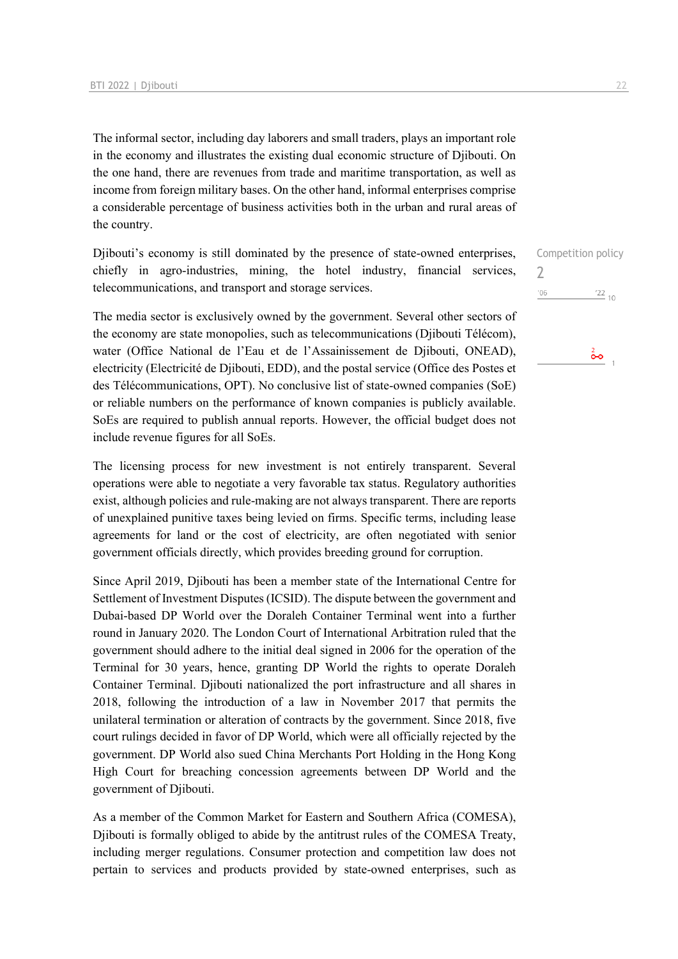The informal sector, including day laborers and small traders, plays an important role in the economy and illustrates the existing dual economic structure of Djibouti. On the one hand, there are revenues from trade and maritime transportation, as well as income from foreign military bases. On the other hand, informal enterprises comprise a considerable percentage of business activities both in the urban and rural areas of the country.

Djibouti's economy is still dominated by the presence of state-owned enterprises, chiefly in agro-industries, mining, the hotel industry, financial services, telecommunications, and transport and storage services.

The media sector is exclusively owned by the government. Several other sectors of the economy are state monopolies, such as telecommunications (Djibouti Télécom), water (Office National de l'Eau et de l'Assainissement de Djibouti, ONEAD), electricity (Electricité de Djibouti, EDD), and the postal service (Office des Postes et des Télécommunications, OPT). No conclusive list of state-owned companies (SoE) or reliable numbers on the performance of known companies is publicly available. SoEs are required to publish annual reports. However, the official budget does not include revenue figures for all SoEs.

The licensing process for new investment is not entirely transparent. Several operations were able to negotiate a very favorable tax status. Regulatory authorities exist, although policies and rule-making are not always transparent. There are reports of unexplained punitive taxes being levied on firms. Specific terms, including lease agreements for land or the cost of electricity, are often negotiated with senior government officials directly, which provides breeding ground for corruption.

Since April 2019, Djibouti has been a member state of the International Centre for Settlement of Investment Disputes (ICSID). The dispute between the government and Dubai-based DP World over the Doraleh Container Terminal went into a further round in January 2020. The London Court of International Arbitration ruled that the government should adhere to the initial deal signed in 2006 for the operation of the Terminal for 30 years, hence, granting DP World the rights to operate Doraleh Container Terminal. Djibouti nationalized the port infrastructure and all shares in 2018, following the introduction of a law in November 2017 that permits the unilateral termination or alteration of contracts by the government. Since 2018, five court rulings decided in favor of DP World, which were all officially rejected by the government. DP World also sued China Merchants Port Holding in the Hong Kong High Court for breaching concession agreements between DP World and the government of Djibouti.

As a member of the Common Market for Eastern and Southern Africa (COMESA), Djibouti is formally obliged to abide by the antitrust rules of the COMESA Treaty, including merger regulations. Consumer protection and competition law does not pertain to services and products provided by state-owned enterprises, such as

Competition policy

 $22_{10}$ 

 $\frac{2}{\mathbf{0}\cdot\mathbf{0}}$ 

 $\gamma$  $^{\prime}06$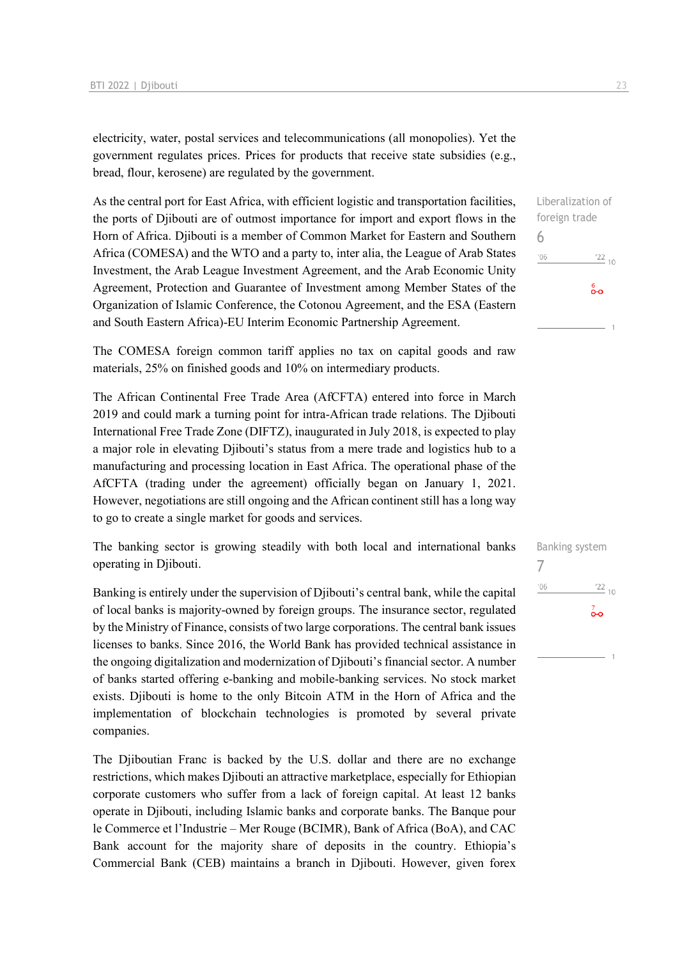electricity, water, postal services and telecommunications (all monopolies). Yet the government regulates prices. Prices for products that receive state subsidies (e.g., bread, flour, kerosene) are regulated by the government.

As the central port for East Africa, with efficient logistic and transportation facilities, the ports of Djibouti are of outmost importance for import and export flows in the Horn of Africa. Djibouti is a member of Common Market for Eastern and Southern Africa (COMESA) and the WTO and a party to, inter alia, the League of Arab States Investment, the Arab League Investment Agreement, and the Arab Economic Unity Agreement, Protection and Guarantee of Investment among Member States of the Organization of Islamic Conference, the Cotonou Agreement, and the ESA (Eastern and South Eastern Africa)-EU Interim Economic Partnership Agreement.

The COMESA foreign common tariff applies no tax on capital goods and raw materials, 25% on finished goods and 10% on intermediary products.

The African Continental Free Trade Area (AfCFTA) entered into force in March 2019 and could mark a turning point for intra-African trade relations. The Djibouti International Free Trade Zone (DIFTZ), inaugurated in July 2018, is expected to play a major role in elevating Djibouti's status from a mere trade and logistics hub to a manufacturing and processing location in East Africa. The operational phase of the AfCFTA (trading under the agreement) officially began on January 1, 2021. However, negotiations are still ongoing and the African continent still has a long way to go to create a single market for goods and services.

The banking sector is growing steadily with both local and international banks operating in Djibouti.

Banking is entirely under the supervision of Djibouti's central bank, while the capital of local banks is majority-owned by foreign groups. The insurance sector, regulated by the Ministry of Finance, consists of two large corporations. The central bank issues licenses to banks. Since 2016, the World Bank has provided technical assistance in the ongoing digitalization and modernization of Djibouti's financial sector. A number of banks started offering e-banking and mobile-banking services. No stock market exists. Djibouti is home to the only Bitcoin ATM in the Horn of Africa and the implementation of blockchain technologies is promoted by several private companies.

The Djiboutian Franc is backed by the U.S. dollar and there are no exchange restrictions, which makes Djibouti an attractive marketplace, especially for Ethiopian corporate customers who suffer from a lack of foreign capital. At least 12 banks operate in Djibouti, including Islamic banks and corporate banks. The Banque pour le Commerce et l'Industrie – Mer Rouge (BCIMR), Bank of Africa (BoA), and CAC Bank account for the majority share of deposits in the country. Ethiopia's Commercial Bank (CEB) maintains a branch in Djibouti. However, given forex Liberalization of foreign trade

 $\frac{22}{10}$ 

စိစ

Banking system

 $\frac{22}{10}$ 

 $\overline{\textbf{0}}$ 

7

 $106$ 

6

 $06'$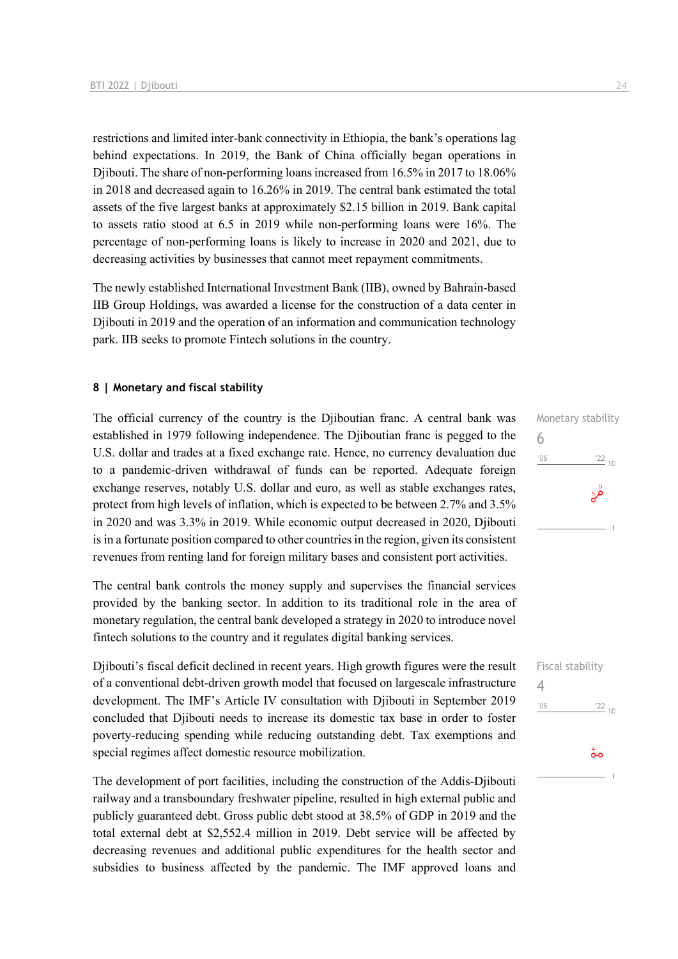restrictions and limited inter-bank connectivity in Ethiopia, the bank's operations lag behind expectations. In 2019, the Bank of China officially began operations in Djibouti. The share of non-performing loans increased from 16.5% in 2017 to 18.06% in 2018 and decreased again to 16.26% in 2019. The central bank estimated the total assets of the five largest banks at approximately \$2.15 billion in 2019. Bank capital to assets ratio stood at 6.5 in 2019 while non-performing loans were 16%. The percentage of non-performing loans is likely to increase in 2020 and 2021, due to decreasing activities by businesses that cannot meet repayment commitments.

The newly established International Investment Bank (IIB), owned by Bahrain-based IIB Group Holdings, was awarded a license for the construction of a data center in Djibouti in 2019 and the operation of an information and communication technology park. IIB seeks to promote Fintech solutions in the country.

### **8 | Monetary and fiscal stability**

The official currency of the country is the Djiboutian franc. A central bank was established in 1979 following independence. The Djiboutian franc is pegged to the U.S. dollar and trades at a fixed exchange rate. Hence, no currency devaluation due to a pandemic-driven withdrawal of funds can be reported. Adequate foreign exchange reserves, notably U.S. dollar and euro, as well as stable exchanges rates, protect from high levels of inflation, which is expected to be between 2.7% and 3.5% in 2020 and was 3.3% in 2019. While economic output decreased in 2020, Djibouti is in a fortunate position compared to other countries in the region, given its consistent revenues from renting land for foreign military bases and consistent port activities.

The central bank controls the money supply and supervises the financial services provided by the banking sector. In addition to its traditional role in the area of monetary regulation, the central bank developed a strategy in 2020 to introduce novel fintech solutions to the country and it regulates digital banking services.

Djibouti's fiscal deficit declined in recent years. High growth figures were the result of a conventional debt-driven growth model that focused on largescale infrastructure development. The IMF's Article IV consultation with Djibouti in September 2019 concluded that Djibouti needs to increase its domestic tax base in order to foster poverty-reducing spending while reducing outstanding debt. Tax exemptions and special regimes affect domestic resource mobilization.

The development of port facilities, including the construction of the Addis-Djibouti railway and a transboundary freshwater pipeline, resulted in high external public and publicly guaranteed debt. Gross public debt stood at 38.5% of GDP in 2019 and the total external debt at \$2,552.4 million in 2019. Debt service will be affected by decreasing revenues and additional public expenditures for the health sector and subsidies to business affected by the pandemic. The IMF approved loans and Monetary stability 6  $106$  $\frac{22}{10}$  $50^{\circ}$ 

Fiscal stability 4 $'06$  $\frac{22}{10}$  $\overset{4}{\bullet}$ o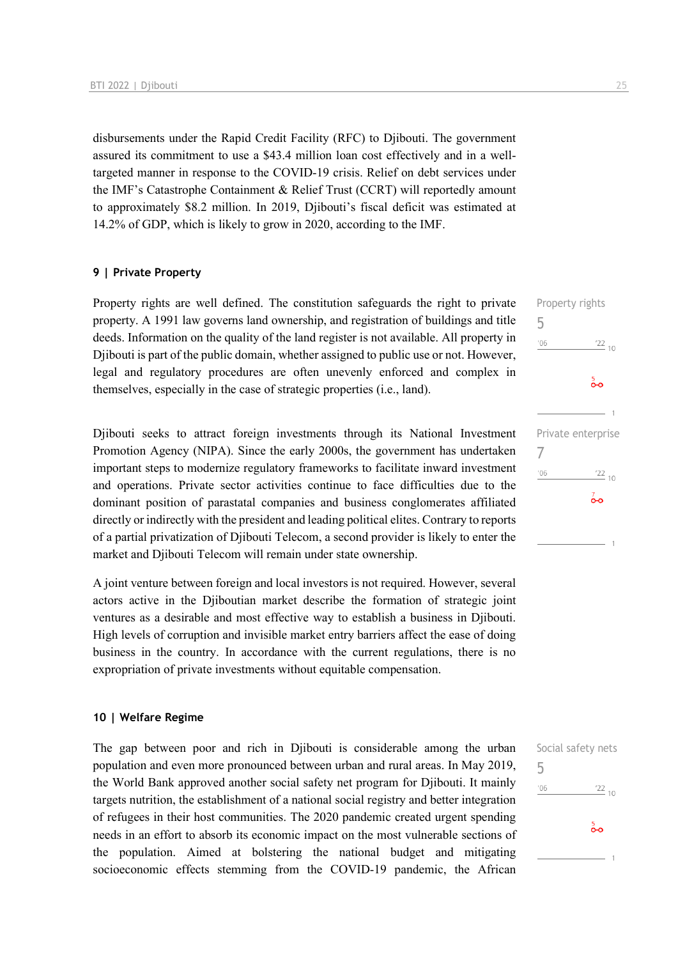disbursements under the Rapid Credit Facility (RFC) to Djibouti. The government assured its commitment to use a \$43.4 million loan cost effectively and in a welltargeted manner in response to the COVID-19 crisis. Relief on debt services under the IMF's Catastrophe Containment & Relief Trust (CCRT) will reportedly amount to approximately \$8.2 million. In 2019, Djibouti's fiscal deficit was estimated at 14.2% of GDP, which is likely to grow in 2020, according to the IMF.

### **9 | Private Property**

Property rights are well defined. The constitution safeguards the right to private property. A 1991 law governs land ownership, and registration of buildings and title deeds. Information on the quality of the land register is not available. All property in Djibouti is part of the public domain, whether assigned to public use or not. However, legal and regulatory procedures are often unevenly enforced and complex in themselves, especially in the case of strategic properties (i.e., land).

Djibouti seeks to attract foreign investments through its National Investment Promotion Agency (NIPA). Since the early 2000s, the government has undertaken important steps to modernize regulatory frameworks to facilitate inward investment and operations. Private sector activities continue to face difficulties due to the dominant position of parastatal companies and business conglomerates affiliated directly or indirectly with the president and leading political elites. Contrary to reports of a partial privatization of Djibouti Telecom, a second provider is likely to enter the market and Djibouti Telecom will remain under state ownership.

A joint venture between foreign and local investors is not required. However, several actors active in the Djiboutian market describe the formation of strategic joint ventures as a desirable and most effective way to establish a business in Djibouti. High levels of corruption and invisible market entry barriers affect the ease of doing business in the country. In accordance with the current regulations, there is no expropriation of private investments without equitable compensation.

### **10 | Welfare Regime**

The gap between poor and rich in Djibouti is considerable among the urban population and even more pronounced between urban and rural areas. In May 2019, the World Bank approved another social safety net program for Djibouti. It mainly targets nutrition, the establishment of a national social registry and better integration of refugees in their host communities. The 2020 pandemic created urgent spending needs in an effort to absorb its economic impact on the most vulnerable sections of the population. Aimed at bolstering the national budget and mitigating socioeconomic effects stemming from the COVID-19 pandemic, the African

Property rights

 $\frac{22}{10}$ 

 $\frac{22}{10}$ 

 $\overline{0}$ 

 $\frac{5}{2}$ 

Private enterprise

5

 $'06$ 

7

 $106$ 

|     | Social safety nets |
|-----|--------------------|
| 5   |                    |
| '06 | $\frac{122}{10}$   |
|     |                    |
|     | စိတ                |
|     | ×                  |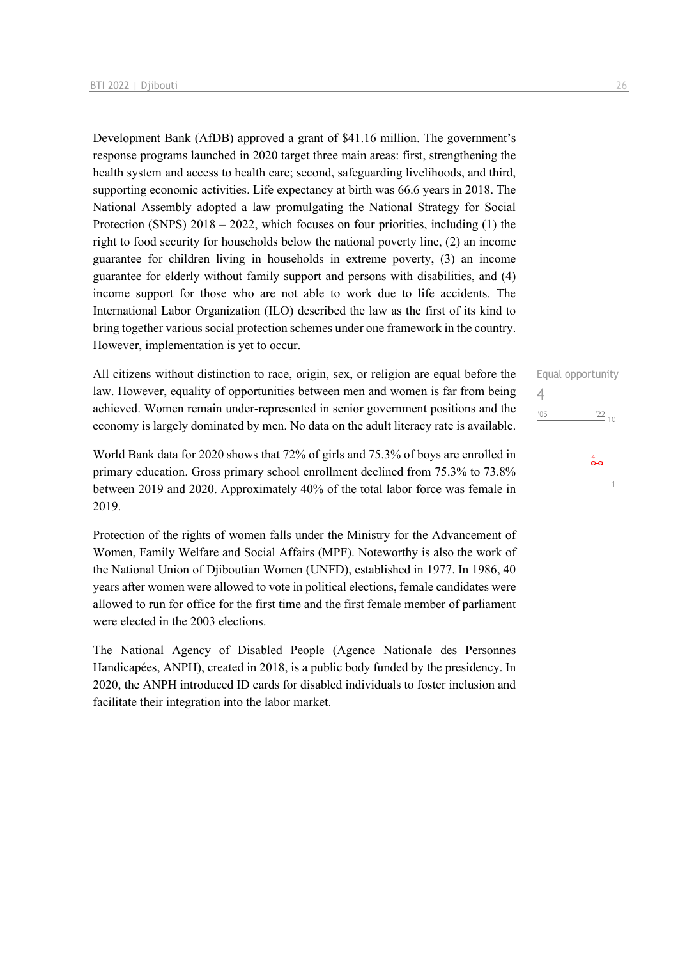Development Bank (AfDB) approved a grant of \$41.16 million. The government's response programs launched in 2020 target three main areas: first, strengthening the health system and access to health care; second, safeguarding livelihoods, and third, supporting economic activities. Life expectancy at birth was 66.6 years in 2018. The National Assembly adopted a law promulgating the National Strategy for Social Protection (SNPS) 2018 – 2022, which focuses on four priorities, including (1) the right to food security for households below the national poverty line, (2) an income guarantee for children living in households in extreme poverty, (3) an income guarantee for elderly without family support and persons with disabilities, and (4) income support for those who are not able to work due to life accidents. The International Labor Organization (ILO) described the law as the first of its kind to bring together various social protection schemes under one framework in the country. However, implementation is yet to occur.

All citizens without distinction to race, origin, sex, or religion are equal before the law. However, equality of opportunities between men and women is far from being achieved. Women remain under-represented in senior government positions and the economy is largely dominated by men. No data on the adult literacy rate is available.

World Bank data for 2020 shows that 72% of girls and 75.3% of boys are enrolled in primary education. Gross primary school enrollment declined from 75.3% to 73.8% between 2019 and 2020. Approximately 40% of the total labor force was female in 2019.

Protection of the rights of women falls under the Ministry for the Advancement of Women, Family Welfare and Social Affairs (MPF). Noteworthy is also the work of the National Union of Djiboutian Women (UNFD), established in 1977. In 1986, 40 years after women were allowed to vote in political elections, female candidates were allowed to run for office for the first time and the first female member of parliament were elected in the 2003 elections.

The National Agency of Disabled People (Agence Nationale des Personnes Handicapées, ANPH), created in 2018, is a public body funded by the presidency. In 2020, the ANPH introduced ID cards for disabled individuals to foster inclusion and facilitate their integration into the labor market.

| Equal opportunity |                          |
|-------------------|--------------------------|
|                   |                          |
| '06               | $\frac{22}{10}$          |
|                   |                          |
|                   | $\overset{4}{\bullet}$ o |
|                   |                          |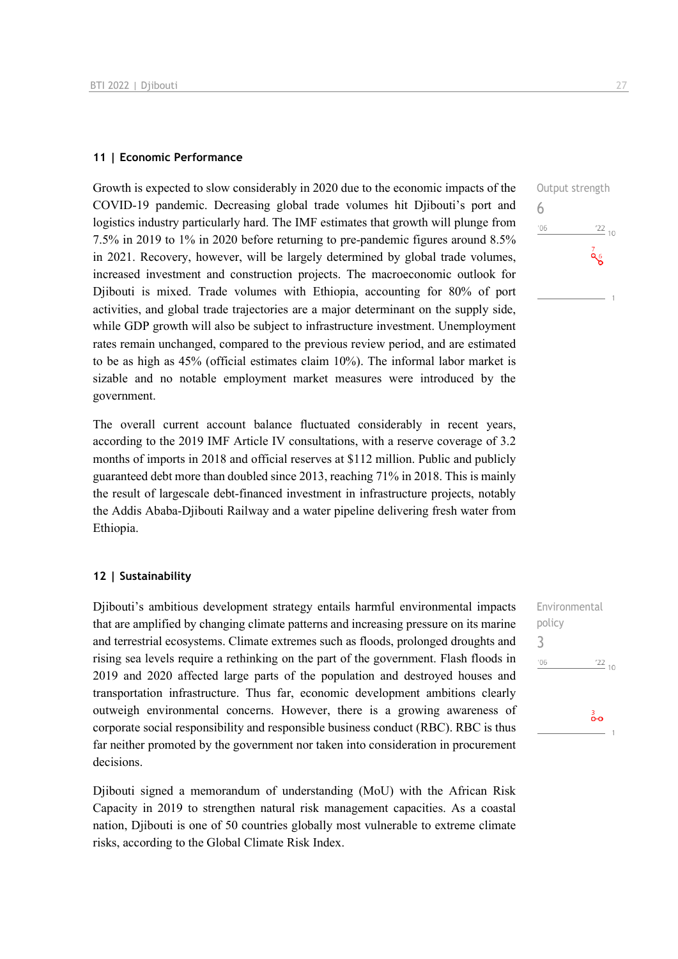### **11 | Economic Performance**

Growth is expected to slow considerably in 2020 due to the economic impacts of the COVID-19 pandemic. Decreasing global trade volumes hit Djibouti's port and logistics industry particularly hard. The IMF estimates that growth will plunge from 7.5% in 2019 to 1% in 2020 before returning to pre-pandemic figures around 8.5% in 2021. Recovery, however, will be largely determined by global trade volumes, increased investment and construction projects. The macroeconomic outlook for Djibouti is mixed. Trade volumes with Ethiopia, accounting for 80% of port activities, and global trade trajectories are a major determinant on the supply side, while GDP growth will also be subject to infrastructure investment. Unemployment rates remain unchanged, compared to the previous review period, and are estimated to be as high as 45% (official estimates claim 10%). The informal labor market is sizable and no notable employment market measures were introduced by the government.

The overall current account balance fluctuated considerably in recent years, according to the 2019 IMF Article IV consultations, with a reserve coverage of 3.2 months of imports in 2018 and official reserves at \$112 million. Public and publicly guaranteed debt more than doubled since 2013, reaching 71% in 2018. This is mainly the result of largescale debt-financed investment in infrastructure projects, notably the Addis Ababa-Djibouti Railway and a water pipeline delivering fresh water from Ethiopia.

### **12 | Sustainability**

Djibouti's ambitious development strategy entails harmful environmental impacts that are amplified by changing climate patterns and increasing pressure on its marine and terrestrial ecosystems. Climate extremes such as floods, prolonged droughts and rising sea levels require a rethinking on the part of the government. Flash floods in 2019 and 2020 affected large parts of the population and destroyed houses and transportation infrastructure. Thus far, economic development ambitions clearly outweigh environmental concerns. However, there is a growing awareness of corporate social responsibility and responsible business conduct (RBC). RBC is thus far neither promoted by the government nor taken into consideration in procurement decisions.

Djibouti signed a memorandum of understanding (MoU) with the African Risk Capacity in 2019 to strengthen natural risk management capacities. As a coastal nation, Djibouti is one of 50 countries globally most vulnerable to extreme climate risks, according to the Global Climate Risk Index.



Environmental policy 3 $\frac{22}{10}$  $'06$ 

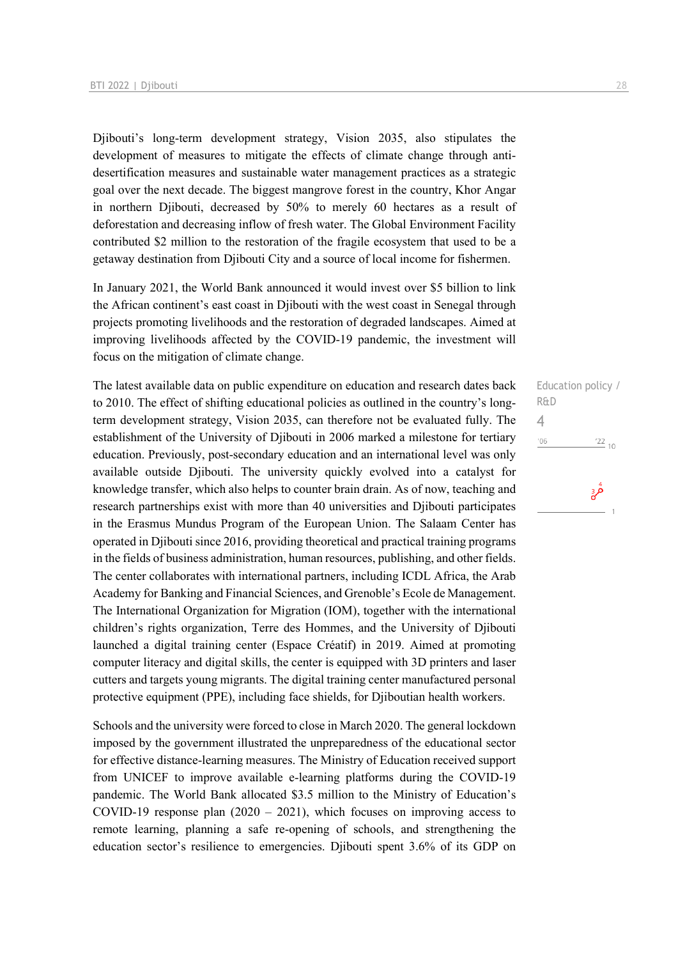Djibouti's long-term development strategy, Vision 2035, also stipulates the development of measures to mitigate the effects of climate change through antidesertification measures and sustainable water management practices as a strategic goal over the next decade. The biggest mangrove forest in the country, Khor Angar in northern Diibouti, decreased by 50% to merely 60 hectares as a result of deforestation and decreasing inflow of fresh water. The Global Environment Facility contributed \$2 million to the restoration of the fragile ecosystem that used to be a getaway destination from Djibouti City and a source of local income for fishermen.

In January 2021, the World Bank announced it would invest over \$5 billion to link the African continent's east coast in Djibouti with the west coast in Senegal through projects promoting livelihoods and the restoration of degraded landscapes. Aimed at improving livelihoods affected by the COVID-19 pandemic, the investment will focus on the mitigation of climate change.

The latest available data on public expenditure on education and research dates back to 2010. The effect of shifting educational policies as outlined in the country's longterm development strategy, Vision 2035, can therefore not be evaluated fully. The establishment of the University of Djibouti in 2006 marked a milestone for tertiary education. Previously, post-secondary education and an international level was only available outside Djibouti. The university quickly evolved into a catalyst for knowledge transfer, which also helps to counter brain drain. As of now, teaching and research partnerships exist with more than 40 universities and Djibouti participates in the Erasmus Mundus Program of the European Union. The Salaam Center has operated in Djibouti since 2016, providing theoretical and practical training programs in the fields of business administration, human resources, publishing, and other fields. The center collaborates with international partners, including ICDL Africa, the Arab Academy for Banking and Financial Sciences, and Grenoble's Ecole de Management. The International Organization for Migration (IOM), together with the international children's rights organization, Terre des Hommes, and the University of Djibouti launched a digital training center (Espace Créatif) in 2019. Aimed at promoting computer literacy and digital skills, the center is equipped with 3D printers and laser cutters and targets young migrants. The digital training center manufactured personal protective equipment (PPE), including face shields, for Djiboutian health workers.

Schools and the university were forced to close in March 2020. The general lockdown imposed by the government illustrated the unpreparedness of the educational sector for effective distance-learning measures. The Ministry of Education received support from UNICEF to improve available e-learning platforms during the COVID-19 pandemic. The World Bank allocated \$3.5 million to the Ministry of Education's COVID-19 response plan  $(2020 - 2021)$ , which focuses on improving access to remote learning, planning a safe re-opening of schools, and strengthening the education sector's resilience to emergencies. Djibouti spent 3.6% of its GDP on Education policy / R&D 4 $^{\prime}06$  $\frac{22}{10}$ قر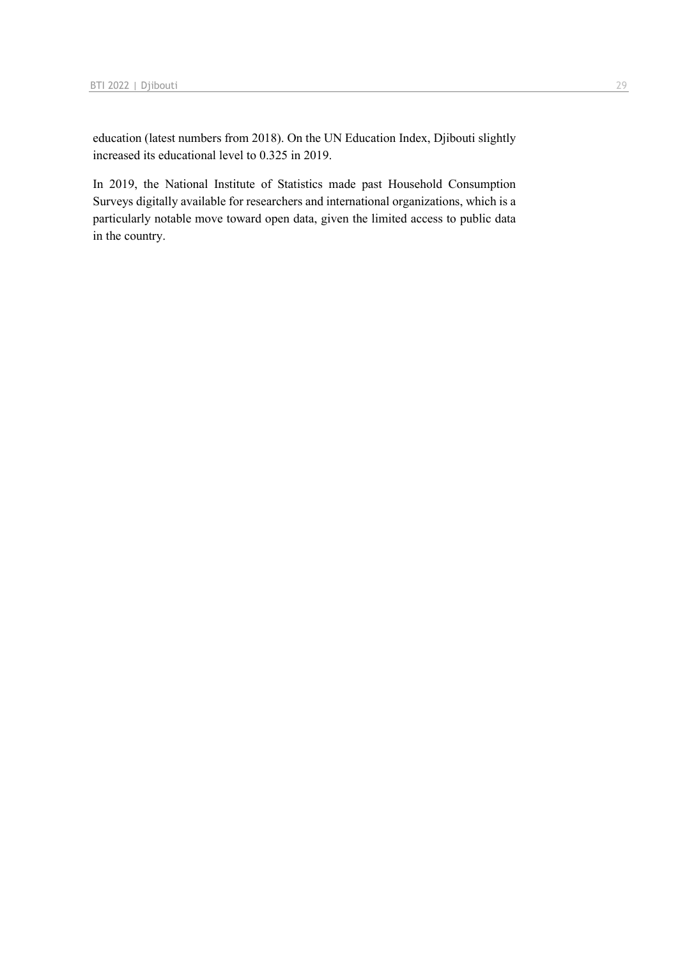education (latest numbers from 2018). On the UN Education Index, Djibouti slightly increased its educational level to 0.325 in 2019.

In 2019, the National Institute of Statistics made past Household Consumption Surveys digitally available for researchers and international organizations, which is a particularly notable move toward open data, given the limited access to public data in the country.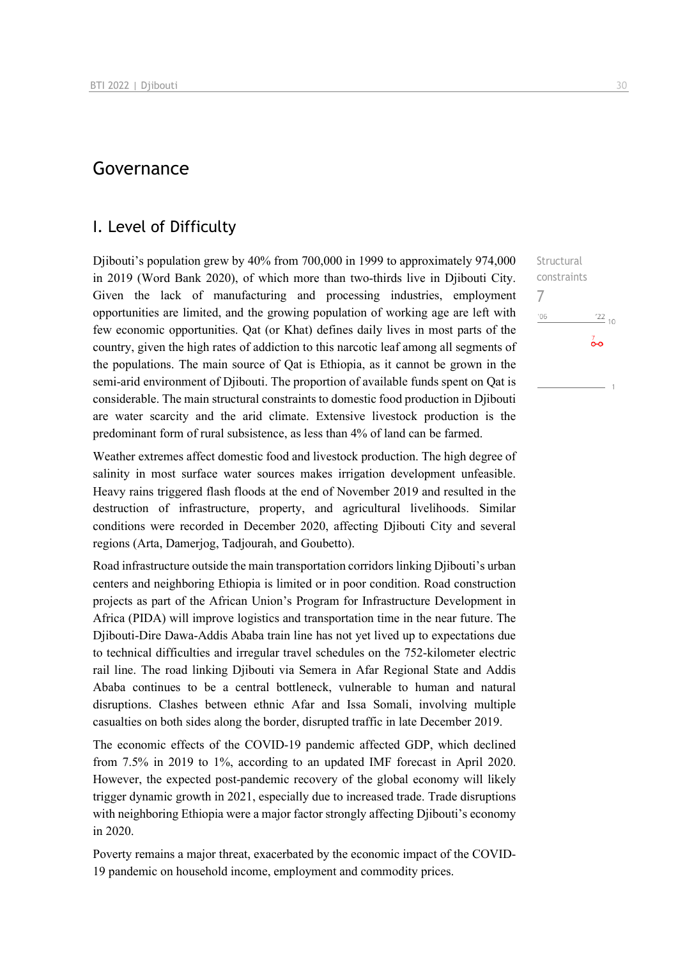# Governance

### I. Level of Difficulty

Djibouti's population grew by 40% from 700,000 in 1999 to approximately 974,000 in 2019 (Word Bank 2020), of which more than two-thirds live in Djibouti City. Given the lack of manufacturing and processing industries, employment opportunities are limited, and the growing population of working age are left with few economic opportunities. Qat (or Khat) defines daily lives in most parts of the country, given the high rates of addiction to this narcotic leaf among all segments of the populations. The main source of Qat is Ethiopia, as it cannot be grown in the semi-arid environment of Djibouti. The proportion of available funds spent on Qat is considerable. The main structural constraints to domestic food production in Djibouti are water scarcity and the arid climate. Extensive livestock production is the predominant form of rural subsistence, as less than 4% of land can be farmed.

Weather extremes affect domestic food and livestock production. The high degree of salinity in most surface water sources makes irrigation development unfeasible. Heavy rains triggered flash floods at the end of November 2019 and resulted in the destruction of infrastructure, property, and agricultural livelihoods. Similar conditions were recorded in December 2020, affecting Djibouti City and several regions (Arta, Damerjog, Tadjourah, and Goubetto).

Road infrastructure outside the main transportation corridors linking Djibouti's urban centers and neighboring Ethiopia is limited or in poor condition. Road construction projects as part of the African Union's Program for Infrastructure Development in Africa (PIDA) will improve logistics and transportation time in the near future. The Djibouti-Dire Dawa-Addis Ababa train line has not yet lived up to expectations due to technical difficulties and irregular travel schedules on the 752-kilometer electric rail line. The road linking Djibouti via Semera in Afar Regional State and Addis Ababa continues to be a central bottleneck, vulnerable to human and natural disruptions. Clashes between ethnic Afar and Issa Somali, involving multiple casualties on both sides along the border, disrupted traffic in late December 2019.

The economic effects of the COVID-19 pandemic affected GDP, which declined from 7.5% in 2019 to 1%, according to an updated IMF forecast in April 2020. However, the expected post-pandemic recovery of the global economy will likely trigger dynamic growth in 2021, especially due to increased trade. Trade disruptions with neighboring Ethiopia were a major factor strongly affecting Djibouti's economy in 2020.

Poverty remains a major threat, exacerbated by the economic impact of the COVID-19 pandemic on household income, employment and commodity prices.

Structural constraints 7 $-06$  $^{22}$  10  $\overline{0}$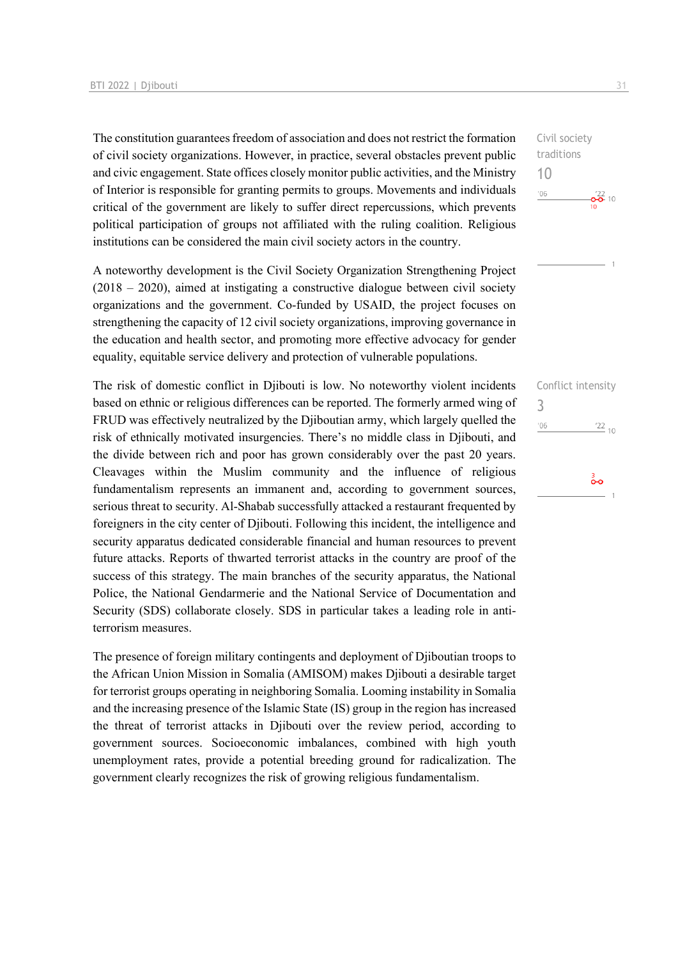The constitution guarantees freedom of association and does not restrict the formation of civil society organizations. However, in practice, several obstacles prevent public and civic engagement. State offices closely monitor public activities, and the Ministry of Interior is responsible for granting permits to groups. Movements and individuals critical of the government are likely to suffer direct repercussions, which prevents political participation of groups not affiliated with the ruling coalition. Religious institutions can be considered the main civil society actors in the country.

A noteworthy development is the Civil Society Organization Strengthening Project (2018 – 2020), aimed at instigating a constructive dialogue between civil society organizations and the government. Co-funded by USAID, the project focuses on strengthening the capacity of 12 civil society organizations, improving governance in the education and health sector, and promoting more effective advocacy for gender equality, equitable service delivery and protection of vulnerable populations.

The risk of domestic conflict in Djibouti is low. No noteworthy violent incidents based on ethnic or religious differences can be reported. The formerly armed wing of FRUD was effectively neutralized by the Djiboutian army, which largely quelled the risk of ethnically motivated insurgencies. There's no middle class in Djibouti, and the divide between rich and poor has grown considerably over the past 20 years. Cleavages within the Muslim community and the influence of religious fundamentalism represents an immanent and, according to government sources, serious threat to security. Al-Shabab successfully attacked a restaurant frequented by foreigners in the city center of Djibouti. Following this incident, the intelligence and security apparatus dedicated considerable financial and human resources to prevent future attacks. Reports of thwarted terrorist attacks in the country are proof of the success of this strategy. The main branches of the security apparatus, the National Police, the National Gendarmerie and the National Service of Documentation and Security (SDS) collaborate closely. SDS in particular takes a leading role in antiterrorism measures.

The presence of foreign military contingents and deployment of Djiboutian troops to the African Union Mission in Somalia (AMISOM) makes Djibouti a desirable target for terrorist groups operating in neighboring Somalia. Looming instability in Somalia and the increasing presence of the Islamic State (IS) group in the region has increased the threat of terrorist attacks in Djibouti over the review period, according to government sources. Socioeconomic imbalances, combined with high youth unemployment rates, provide a potential breeding ground for radicalization. The government clearly recognizes the risk of growing religious fundamentalism.



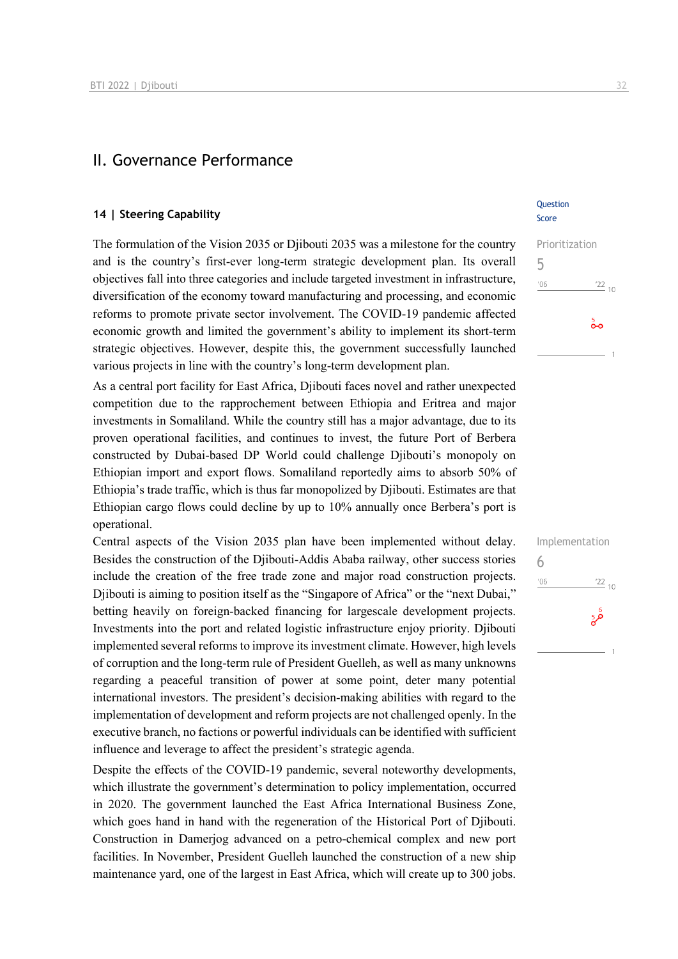# II. Governance Performance

#### **14 | Steering Capability**

The formulation of the Vision 2035 or Djibouti 2035 was a milestone for the country and is the country's first-ever long-term strategic development plan. Its overall objectives fall into three categories and include targeted investment in infrastructure, diversification of the economy toward manufacturing and processing, and economic reforms to promote private sector involvement. The COVID-19 pandemic affected economic growth and limited the government's ability to implement its short-term strategic objectives. However, despite this, the government successfully launched various projects in line with the country's long-term development plan.

As a central port facility for East Africa, Djibouti faces novel and rather unexpected competition due to the rapprochement between Ethiopia and Eritrea and major investments in Somaliland. While the country still has a major advantage, due to its proven operational facilities, and continues to invest, the future Port of Berbera constructed by Dubai-based DP World could challenge Djibouti's monopoly on Ethiopian import and export flows. Somaliland reportedly aims to absorb 50% of Ethiopia's trade traffic, which is thus far monopolized by Djibouti. Estimates are that Ethiopian cargo flows could decline by up to 10% annually once Berbera's port is operational.

Central aspects of the Vision 2035 plan have been implemented without delay. Besides the construction of the Djibouti-Addis Ababa railway, other success stories include the creation of the free trade zone and major road construction projects. Djibouti is aiming to position itself as the "Singapore of Africa" or the "next Dubai," betting heavily on foreign-backed financing for largescale development projects. Investments into the port and related logistic infrastructure enjoy priority. Djibouti implemented several reforms to improve its investment climate. However, high levels of corruption and the long-term rule of President Guelleh, as well as many unknowns regarding a peaceful transition of power at some point, deter many potential international investors. The president's decision-making abilities with regard to the implementation of development and reform projects are not challenged openly. In the executive branch, no factions or powerful individuals can be identified with sufficient influence and leverage to affect the president's strategic agenda.

Despite the effects of the COVID-19 pandemic, several noteworthy developments, which illustrate the government's determination to policy implementation, occurred in 2020. The government launched the East Africa International Business Zone, which goes hand in hand with the regeneration of the Historical Port of Djibouti. Construction in Damerjog advanced on a petro-chemical complex and new port facilities. In November, President Guelleh launched the construction of a new ship maintenance yard, one of the largest in East Africa, which will create up to 300 jobs.

### Question Score

| Prioritization |                  |
|----------------|------------------|
| 5              |                  |
| '06            | $\frac{122}{10}$ |
|                | စိတ              |
|                |                  |

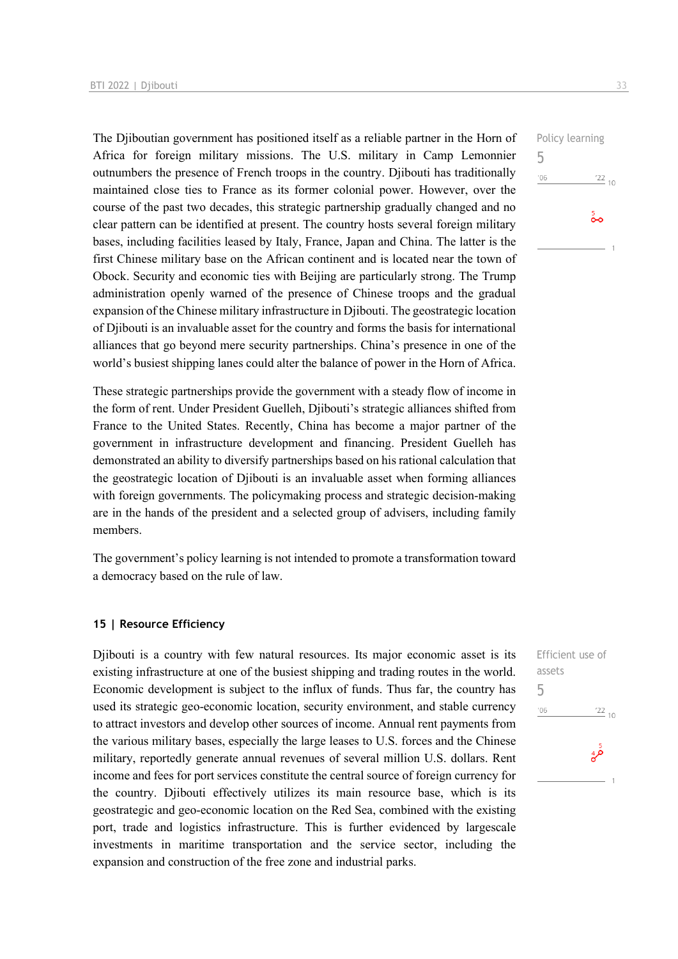The Djiboutian government has positioned itself as a reliable partner in the Horn of Africa for foreign military missions. The U.S. military in Camp Lemonnier outnumbers the presence of French troops in the country. Djibouti has traditionally maintained close ties to France as its former colonial power. However, over the course of the past two decades, this strategic partnership gradually changed and no clear pattern can be identified at present. The country hosts several foreign military bases, including facilities leased by Italy, France, Japan and China. The latter is the first Chinese military base on the African continent and is located near the town of Obock. Security and economic ties with Beijing are particularly strong. The Trump administration openly warned of the presence of Chinese troops and the gradual expansion of the Chinese military infrastructure in Djibouti. The geostrategic location of Djibouti is an invaluable asset for the country and forms the basis for international alliances that go beyond mere security partnerships. China's presence in one of the world's busiest shipping lanes could alter the balance of power in the Horn of Africa.

These strategic partnerships provide the government with a steady flow of income in the form of rent. Under President Guelleh, Djibouti's strategic alliances shifted from France to the United States. Recently, China has become a major partner of the government in infrastructure development and financing. President Guelleh has demonstrated an ability to diversify partnerships based on his rational calculation that the geostrategic location of Djibouti is an invaluable asset when forming alliances with foreign governments. The policymaking process and strategic decision-making are in the hands of the president and a selected group of advisers, including family members.

The government's policy learning is not intended to promote a transformation toward a democracy based on the rule of law.

### **15 | Resource Efficiency**

Djibouti is a country with few natural resources. Its major economic asset is its existing infrastructure at one of the busiest shipping and trading routes in the world. Economic development is subject to the influx of funds. Thus far, the country has used its strategic geo-economic location, security environment, and stable currency to attract investors and develop other sources of income. Annual rent payments from the various military bases, especially the large leases to U.S. forces and the Chinese military, reportedly generate annual revenues of several million U.S. dollars. Rent income and fees for port services constitute the central source of foreign currency for the country. Djibouti effectively utilizes its main resource base, which is its geostrategic and geo-economic location on the Red Sea, combined with the existing port, trade and logistics infrastructure. This is further evidenced by largescale investments in maritime transportation and the service sector, including the expansion and construction of the free zone and industrial parks.

Policy learning 5  $^{\prime}06$  $\frac{22}{10}$  $\frac{5}{2}$ 

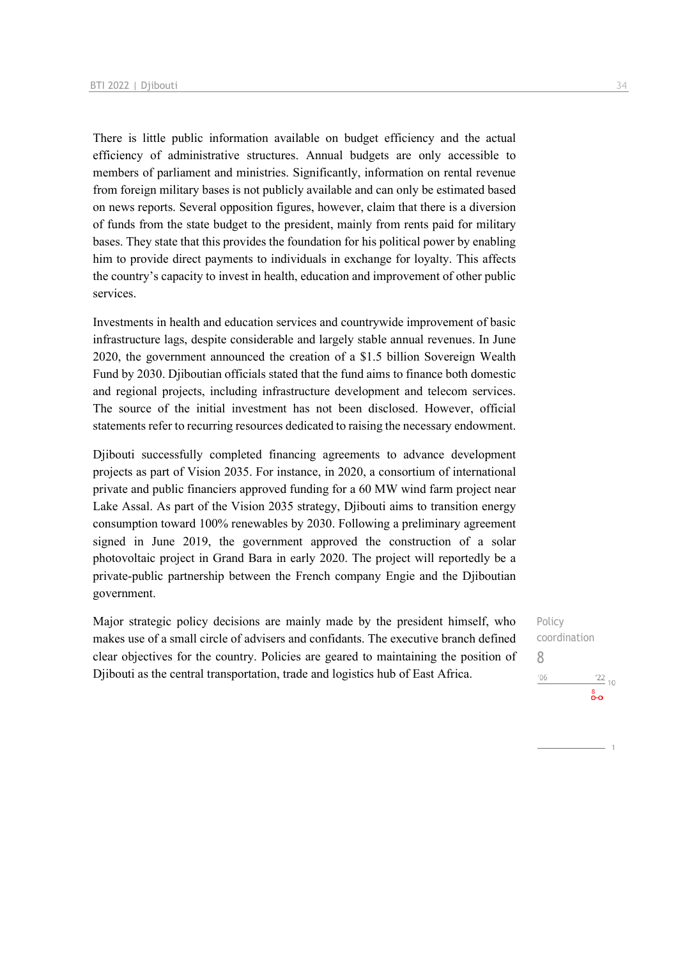There is little public information available on budget efficiency and the actual efficiency of administrative structures. Annual budgets are only accessible to members of parliament and ministries. Significantly, information on rental revenue from foreign military bases is not publicly available and can only be estimated based on news reports. Several opposition figures, however, claim that there is a diversion of funds from the state budget to the president, mainly from rents paid for military bases. They state that this provides the foundation for his political power by enabling him to provide direct payments to individuals in exchange for loyalty. This affects the country's capacity to invest in health, education and improvement of other public services.

Investments in health and education services and countrywide improvement of basic infrastructure lags, despite considerable and largely stable annual revenues. In June 2020, the government announced the creation of a \$1.5 billion Sovereign Wealth Fund by 2030. Djiboutian officials stated that the fund aims to finance both domestic and regional projects, including infrastructure development and telecom services. The source of the initial investment has not been disclosed. However, official statements refer to recurring resources dedicated to raising the necessary endowment.

Djibouti successfully completed financing agreements to advance development projects as part of Vision 2035. For instance, in 2020, a consortium of international private and public financiers approved funding for a 60 MW wind farm project near Lake Assal. As part of the Vision 2035 strategy, Djibouti aims to transition energy consumption toward 100% renewables by 2030. Following a preliminary agreement signed in June 2019, the government approved the construction of a solar photovoltaic project in Grand Bara in early 2020. The project will reportedly be a private-public partnership between the French company Engie and the Djiboutian government.

Major strategic policy decisions are mainly made by the president himself, who makes use of a small circle of advisers and confidants. The executive branch defined clear objectives for the country. Policies are geared to maintaining the position of Djibouti as the central transportation, trade and logistics hub of East Africa.

Policy coordination 8 $^{\prime}06$  $\frac{22}{10}$ စီဝ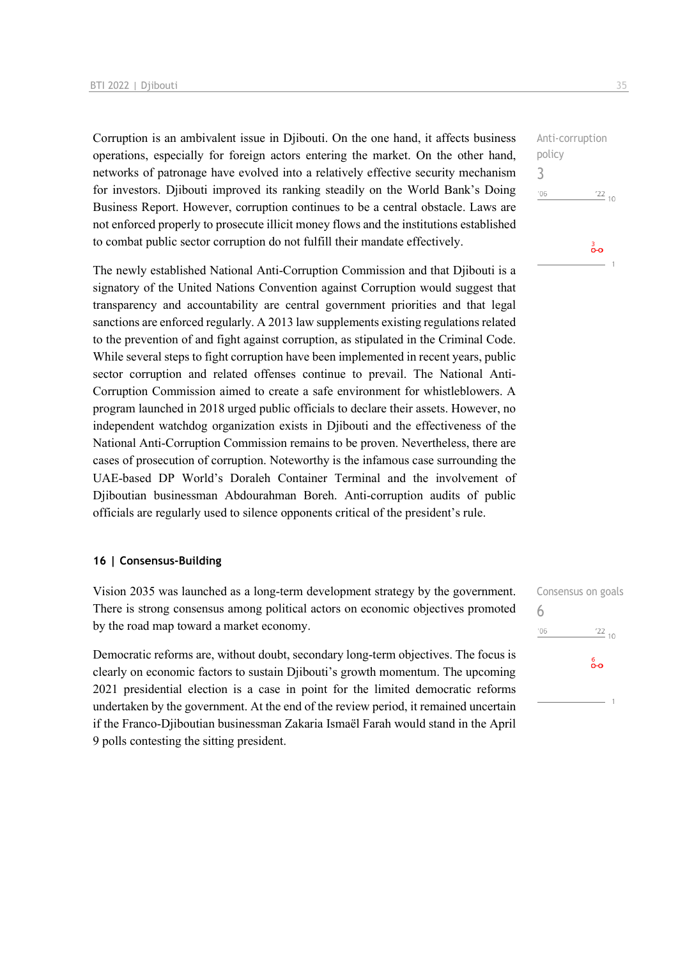Corruption is an ambivalent issue in Djibouti. On the one hand, it affects business operations, especially for foreign actors entering the market. On the other hand, networks of patronage have evolved into a relatively effective security mechanism for investors. Djibouti improved its ranking steadily on the World Bank's Doing Business Report. However, corruption continues to be a central obstacle. Laws are not enforced properly to prosecute illicit money flows and the institutions established to combat public sector corruption do not fulfill their mandate effectively.

The newly established National Anti-Corruption Commission and that Djibouti is a signatory of the United Nations Convention against Corruption would suggest that transparency and accountability are central government priorities and that legal sanctions are enforced regularly. A 2013 law supplements existing regulations related to the prevention of and fight against corruption, as stipulated in the Criminal Code. While several steps to fight corruption have been implemented in recent years, public sector corruption and related offenses continue to prevail. The National Anti-Corruption Commission aimed to create a safe environment for whistleblowers. A program launched in 2018 urged public officials to declare their assets. However, no independent watchdog organization exists in Djibouti and the effectiveness of the National Anti-Corruption Commission remains to be proven. Nevertheless, there are cases of prosecution of corruption. Noteworthy is the infamous case surrounding the UAE-based DP World's Doraleh Container Terminal and the involvement of Djiboutian businessman Abdourahman Boreh. Anti-corruption audits of public officials are regularly used to silence opponents critical of the president's rule.

### **16 | Consensus-Building**

Vision 2035 was launched as a long-term development strategy by the government. There is strong consensus among political actors on economic objectives promoted by the road map toward a market economy.

Democratic reforms are, without doubt, secondary long-term objectives. The focus is clearly on economic factors to sustain Djibouti's growth momentum. The upcoming 2021 presidential election is a case in point for the limited democratic reforms undertaken by the government. At the end of the review period, it remained uncertain if the Franco-Djiboutian businessman Zakaria Ismaël Farah would stand in the April 9 polls contesting the sitting president.

Anti-corruption policy 3  $^{\prime}06$  $\frac{22}{10}$ စိတ

| Consensus on goals |                 |
|--------------------|-----------------|
| 6                  |                 |
| '06                | $\frac{22}{10}$ |
|                    | စ်ဝ             |
|                    |                 |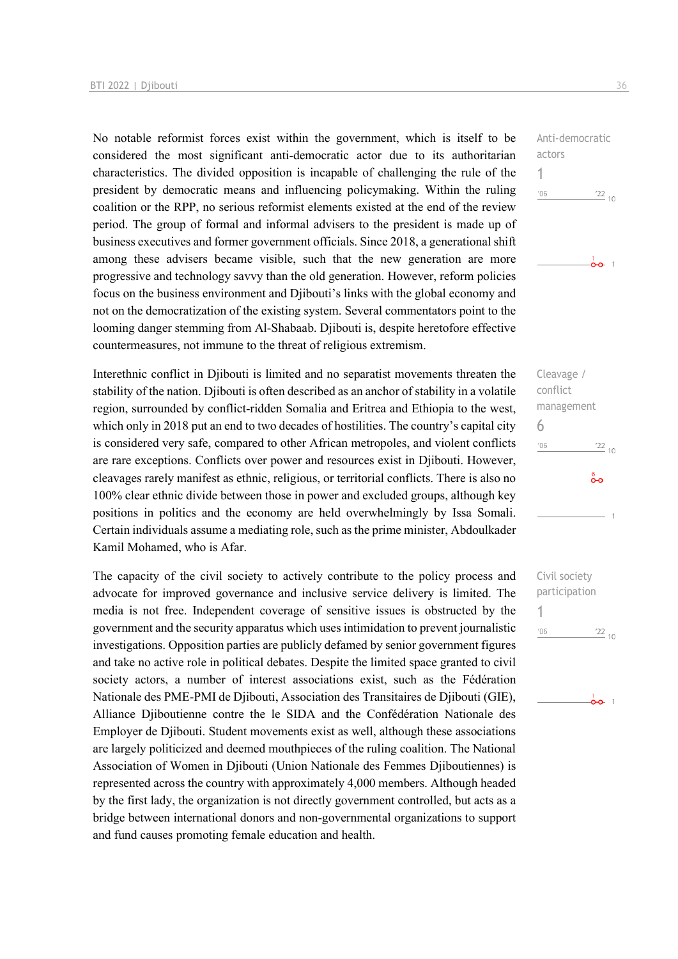No notable reformist forces exist within the government, which is itself to be considered the most significant anti-democratic actor due to its authoritarian characteristics. The divided opposition is incapable of challenging the rule of the president by democratic means and influencing policymaking. Within the ruling coalition or the RPP, no serious reformist elements existed at the end of the review period. The group of formal and informal advisers to the president is made up of business executives and former government officials. Since 2018, a generational shift among these advisers became visible, such that the new generation are more progressive and technology savvy than the old generation. However, reform policies focus on the business environment and Djibouti's links with the global economy and not on the democratization of the existing system. Several commentators point to the looming danger stemming from Al-Shabaab. Djibouti is, despite heretofore effective countermeasures, not immune to the threat of religious extremism.

Interethnic conflict in Djibouti is limited and no separatist movements threaten the stability of the nation. Djibouti is often described as an anchor of stability in a volatile region, surrounded by conflict-ridden Somalia and Eritrea and Ethiopia to the west, which only in 2018 put an end to two decades of hostilities. The country's capital city is considered very safe, compared to other African metropoles, and violent conflicts are rare exceptions. Conflicts over power and resources exist in Djibouti. However, cleavages rarely manifest as ethnic, religious, or territorial conflicts. There is also no 100% clear ethnic divide between those in power and excluded groups, although key positions in politics and the economy are held overwhelmingly by Issa Somali. Certain individuals assume a mediating role, such as the prime minister, Abdoulkader Kamil Mohamed, who is Afar.

The capacity of the civil society to actively contribute to the policy process and advocate for improved governance and inclusive service delivery is limited. The media is not free. Independent coverage of sensitive issues is obstructed by the government and the security apparatus which uses intimidation to prevent journalistic investigations. Opposition parties are publicly defamed by senior government figures and take no active role in political debates. Despite the limited space granted to civil society actors, a number of interest associations exist, such as the Fédération Nationale des PME-PMI de Djibouti, Association des Transitaires de Djibouti (GIE), Alliance Djiboutienne contre the le SIDA and the Confédération Nationale des Employer de Djibouti. Student movements exist as well, although these associations are largely politicized and deemed mouthpieces of the ruling coalition. The National Association of Women in Djibouti (Union Nationale des Femmes Djiboutiennes) is represented across the country with approximately 4,000 members. Although headed by the first lady, the organization is not directly government controlled, but acts as a bridge between international donors and non-governmental organizations to support and fund causes promoting female education and health.



 $\frac{1}{00}$  1

Cleavage / conflict management 6  $'06$  $\frac{22}{10}$ စိစ

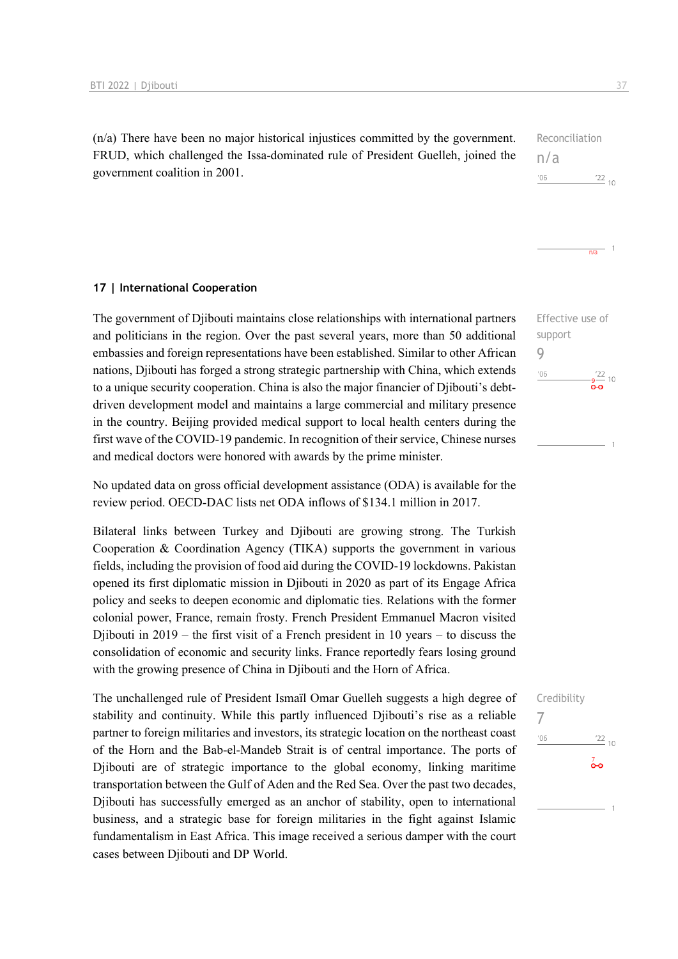(n/a) There have been no major historical injustices committed by the government. FRUD, which challenged the Issa-dominated rule of President Guelleh, joined the government coalition in 2001.

### Reconciliation n/a '06  $^{22}$  10

**17 | International Cooperation**

The government of Djibouti maintains close relationships with international partners and politicians in the region. Over the past several years, more than 50 additional embassies and foreign representations have been established. Similar to other African nations, Djibouti has forged a strong strategic partnership with China, which extends to a unique security cooperation. China is also the major financier of Djibouti's debtdriven development model and maintains a large commercial and military presence in the country. Beijing provided medical support to local health centers during the first wave of the COVID-19 pandemic. In recognition of their service, Chinese nurses and medical doctors were honored with awards by the prime minister.

No updated data on gross official development assistance (ODA) is available for the review period. OECD-DAC lists net ODA inflows of \$134.1 million in 2017.

Bilateral links between Turkey and Djibouti are growing strong. The Turkish Cooperation & Coordination Agency (TIKA) supports the government in various fields, including the provision of food aid during the COVID-19 lockdowns. Pakistan opened its first diplomatic mission in Djibouti in 2020 as part of its Engage Africa policy and seeks to deepen economic and diplomatic ties. Relations with the former colonial power, France, remain frosty. French President Emmanuel Macron visited Djibouti in 2019 – the first visit of a French president in 10 years – to discuss the consolidation of economic and security links. France reportedly fears losing ground with the growing presence of China in Djibouti and the Horn of Africa.

The unchallenged rule of President Ismaïl Omar Guelleh suggests a high degree of stability and continuity. While this partly influenced Djibouti's rise as a reliable partner to foreign militaries and investors, its strategic location on the northeast coast of the Horn and the Bab-el-Mandeb Strait is of central importance. The ports of Djibouti are of strategic importance to the global economy, linking maritime transportation between the Gulf of Aden and the Red Sea. Over the past two decades, Djibouti has successfully emerged as an anchor of stability, open to international business, and a strategic base for foreign militaries in the fight against Islamic fundamentalism in East Africa. This image received a serious damper with the court cases between Djibouti and DP World.

Effective use of support 9  $'06$  $-\frac{9}{2}$  10

 $\frac{1}{n\sqrt{a}}$  1

### Credibility

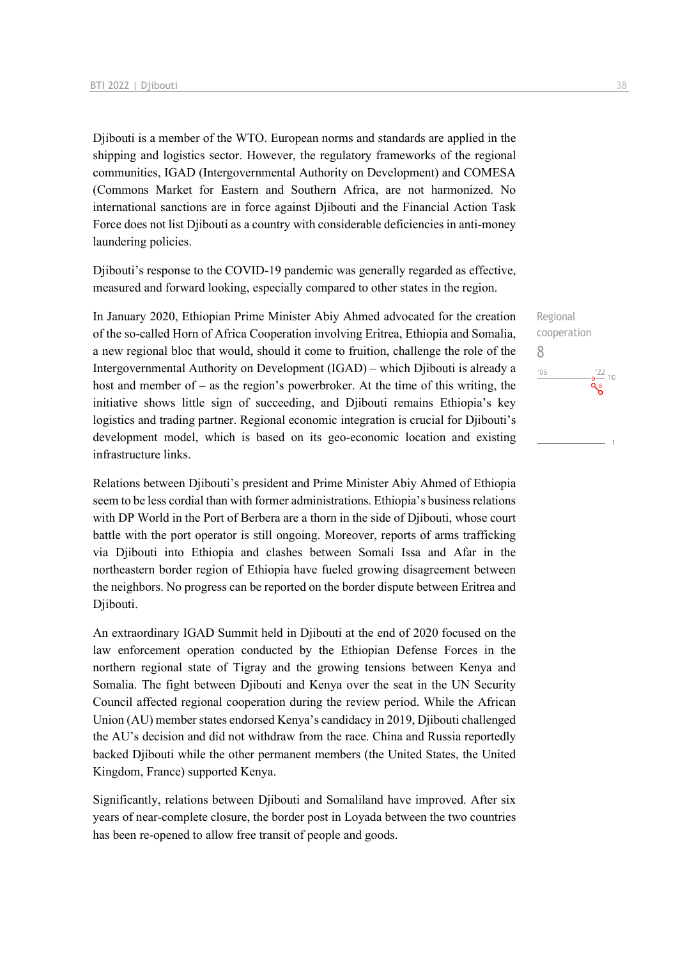Djibouti is a member of the WTO. European norms and standards are applied in the shipping and logistics sector. However, the regulatory frameworks of the regional communities, IGAD (Intergovernmental Authority on Development) and COMESA (Commons Market for Eastern and Southern Africa, are not harmonized. No international sanctions are in force against Djibouti and the Financial Action Task Force does not list Djibouti as a country with considerable deficiencies in anti-money laundering policies.

Djibouti's response to the COVID-19 pandemic was generally regarded as effective, measured and forward looking, especially compared to other states in the region.

In January 2020, Ethiopian Prime Minister Abiy Ahmed advocated for the creation of the so-called Horn of Africa Cooperation involving Eritrea, Ethiopia and Somalia, a new regional bloc that would, should it come to fruition, challenge the role of the Intergovernmental Authority on Development (IGAD) – which Djibouti is already a host and member of – as the region's powerbroker. At the time of this writing, the initiative shows little sign of succeeding, and Djibouti remains Ethiopia's key logistics and trading partner. Regional economic integration is crucial for Djibouti's development model, which is based on its geo-economic location and existing infrastructure links.

Relations between Djibouti's president and Prime Minister Abiy Ahmed of Ethiopia seem to be less cordial than with former administrations. Ethiopia's business relations with DP World in the Port of Berbera are a thorn in the side of Diibouti, whose court battle with the port operator is still ongoing. Moreover, reports of arms trafficking via Djibouti into Ethiopia and clashes between Somali Issa and Afar in the northeastern border region of Ethiopia have fueled growing disagreement between the neighbors. No progress can be reported on the border dispute between Eritrea and Djibouti.

An extraordinary IGAD Summit held in Djibouti at the end of 2020 focused on the law enforcement operation conducted by the Ethiopian Defense Forces in the northern regional state of Tigray and the growing tensions between Kenya and Somalia. The fight between Djibouti and Kenya over the seat in the UN Security Council affected regional cooperation during the review period. While the African Union (AU) member states endorsed Kenya's candidacy in 2019, Djibouti challenged the AU's decision and did not withdraw from the race. China and Russia reportedly backed Djibouti while the other permanent members (the United States, the United Kingdom, France) supported Kenya.

Significantly, relations between Djibouti and Somaliland have improved. After six years of near-complete closure, the border post in Loyada between the two countries has been re-opened to allow free transit of people and goods.

Regional cooperation 8 $n<sub>6</sub>$  $\frac{22}{10}$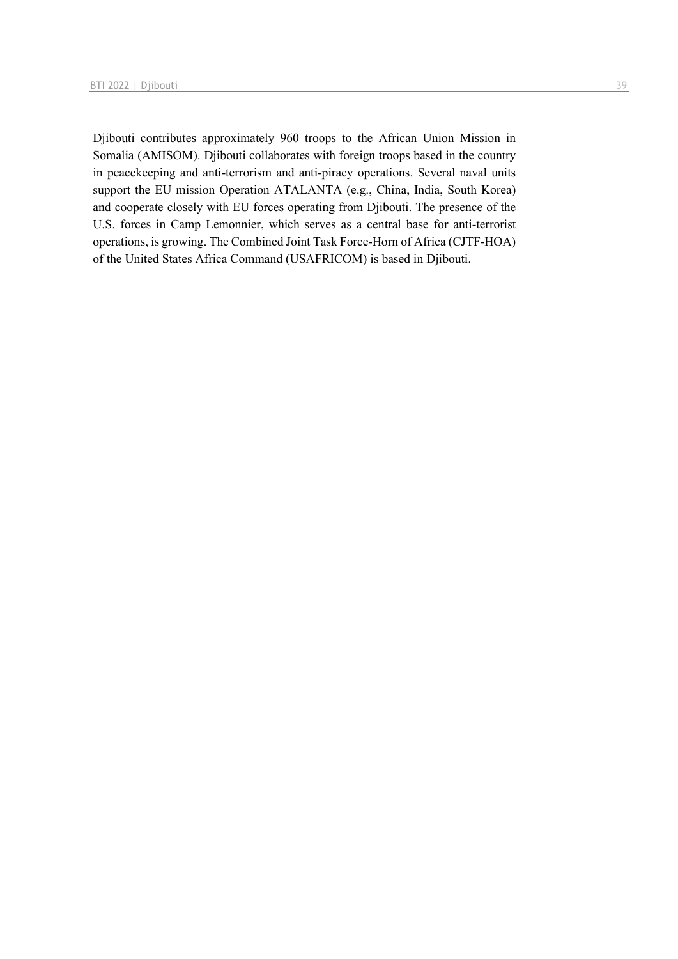Djibouti contributes approximately 960 troops to the African Union Mission in Somalia (AMISOM). Djibouti collaborates with foreign troops based in the country in peacekeeping and anti-terrorism and anti-piracy operations. Several naval units support the EU mission Operation ATALANTA (e.g., China, India, South Korea) and cooperate closely with EU forces operating from Djibouti. The presence of the U.S. forces in Camp Lemonnier, which serves as a central base for anti-terrorist operations, is growing. The Combined Joint Task Force-Horn of Africa (CJTF-HOA) of the United States Africa Command (USAFRICOM) is based in Djibouti.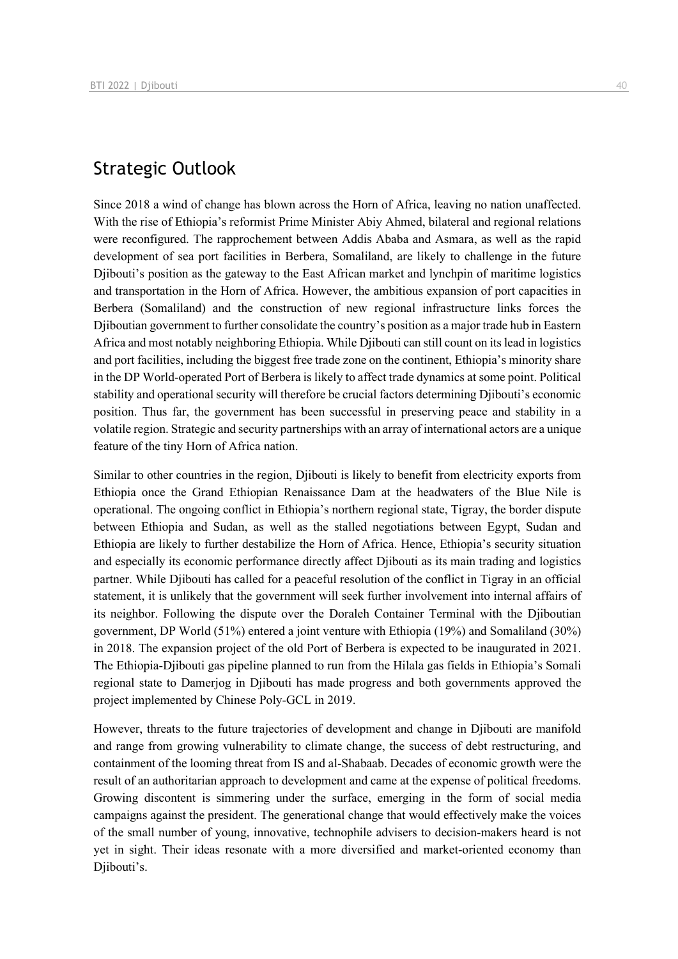# Strategic Outlook

Since 2018 a wind of change has blown across the Horn of Africa, leaving no nation unaffected. With the rise of Ethiopia's reformist Prime Minister Abiy Ahmed, bilateral and regional relations were reconfigured. The rapprochement between Addis Ababa and Asmara, as well as the rapid development of sea port facilities in Berbera, Somaliland, are likely to challenge in the future Djibouti's position as the gateway to the East African market and lynchpin of maritime logistics and transportation in the Horn of Africa. However, the ambitious expansion of port capacities in Berbera (Somaliland) and the construction of new regional infrastructure links forces the Djiboutian government to further consolidate the country's position as a major trade hub in Eastern Africa and most notably neighboring Ethiopia. While Djibouti can still count on its lead in logistics and port facilities, including the biggest free trade zone on the continent, Ethiopia's minority share in the DP World-operated Port of Berbera is likely to affect trade dynamics at some point. Political stability and operational security will therefore be crucial factors determining Djibouti's economic position. Thus far, the government has been successful in preserving peace and stability in a volatile region. Strategic and security partnerships with an array of international actors are a unique feature of the tiny Horn of Africa nation.

Similar to other countries in the region, Djibouti is likely to benefit from electricity exports from Ethiopia once the Grand Ethiopian Renaissance Dam at the headwaters of the Blue Nile is operational. The ongoing conflict in Ethiopia's northern regional state, Tigray, the border dispute between Ethiopia and Sudan, as well as the stalled negotiations between Egypt, Sudan and Ethiopia are likely to further destabilize the Horn of Africa. Hence, Ethiopia's security situation and especially its economic performance directly affect Djibouti as its main trading and logistics partner. While Djibouti has called for a peaceful resolution of the conflict in Tigray in an official statement, it is unlikely that the government will seek further involvement into internal affairs of its neighbor. Following the dispute over the Doraleh Container Terminal with the Djiboutian government, DP World (51%) entered a joint venture with Ethiopia (19%) and Somaliland (30%) in 2018. The expansion project of the old Port of Berbera is expected to be inaugurated in 2021. The Ethiopia-Djibouti gas pipeline planned to run from the Hilala gas fields in Ethiopia's Somali regional state to Damerjog in Djibouti has made progress and both governments approved the project implemented by Chinese Poly-GCL in 2019.

However, threats to the future trajectories of development and change in Djibouti are manifold and range from growing vulnerability to climate change, the success of debt restructuring, and containment of the looming threat from IS and al-Shabaab. Decades of economic growth were the result of an authoritarian approach to development and came at the expense of political freedoms. Growing discontent is simmering under the surface, emerging in the form of social media campaigns against the president. The generational change that would effectively make the voices of the small number of young, innovative, technophile advisers to decision-makers heard is not yet in sight. Their ideas resonate with a more diversified and market-oriented economy than Diibouti's.